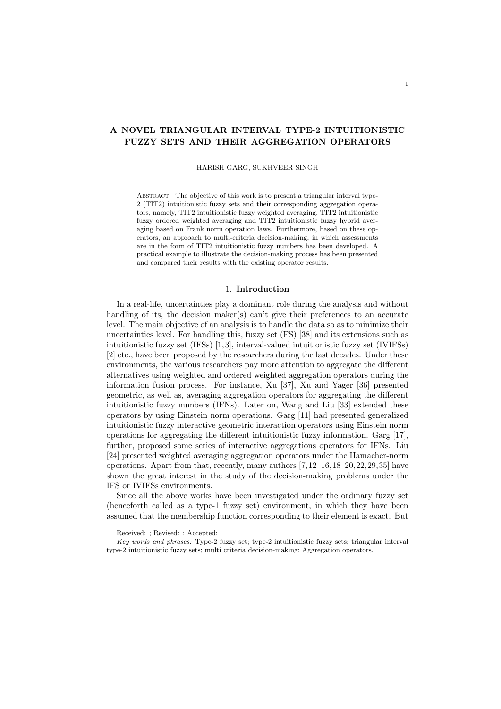# **A NOVEL TRIANGULAR INTERVAL TYPE-2 INTUITIONISTIC FUZZY SETS AND THEIR AGGREGATION OPERATORS**

#### HARISH GARG, SUKHVEER SINGH

ABSTRACT. The objective of this work is to present a triangular interval type-2 (TIT2) intuitionistic fuzzy sets and their corresponding aggregation operators, namely, TIT2 intuitionistic fuzzy weighted averaging, TIT2 intuitionistic fuzzy ordered weighted averaging and TIT2 intuitionistic fuzzy hybrid averaging based on Frank norm operation laws. Furthermore, based on these operators, an approach to multi-criteria decision-making, in which assessments are in the form of TIT2 intuitionistic fuzzy numbers has been developed. A practical example to illustrate the decision-making process has been presented and compared their results with the existing operator results.

## 1. **Introduction**

In a real-life, uncertainties play a dominant role during the analysis and without handling of its, the decision maker(s) can't give their preferences to an accurate level. The main objective of an analysis is to handle the data so as to minimize their uncertainties level. For handling this, fuzzy set (FS) [38] and its extensions such as intuitionistic fuzzy set (IFSs) [1,3], interval-valued intuitionistic fuzzy set (IVIFSs) [2] etc., have been proposed by the researchers during the last decades. Under these environments, the various researchers pay more attention to aggregate the different alternatives using weighted and ordered weighted aggregation operators during the information fusion process. For instance, Xu [37], Xu and Yager [36] presented geometric, as well as, averaging aggregation operators for aggregating the different intuitionistic fuzzy numbers (IFNs). Later on, Wang and Liu [33] extended these operators by using Einstein norm operations. Garg [11] had presented generalized intuitionistic fuzzy interactive geometric interaction operators using Einstein norm operations for aggregating the different intuitionistic fuzzy information. Garg [17], further, proposed some series of interactive aggregations operators for IFNs. Liu [24] presented weighted averaging aggregation operators under the Hamacher-norm operations. Apart from that, recently, many authors [7,12–16,18–20,22,29,35] have shown the great interest in the study of the decision-making problems under the IFS or IVIFSs environments.

Since all the above works have been investigated under the ordinary fuzzy set (henceforth called as a type-1 fuzzy set) environment, in which they have been assumed that the membership function corresponding to their element is exact. But

Received: ; Revised: ; Accepted:

*Key words and phrases:* Type-2 fuzzy set; type-2 intuitionistic fuzzy sets; triangular interval type-2 intuitionistic fuzzy sets; multi criteria decision-making; Aggregation operators.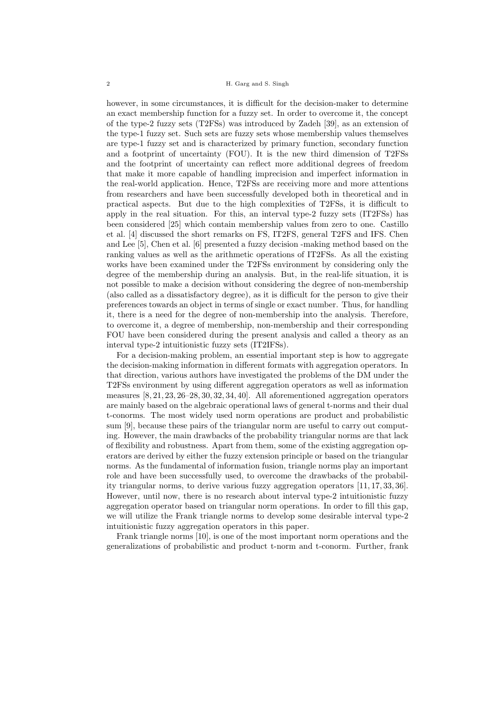however, in some circumstances, it is difficult for the decision-maker to determine an exact membership function for a fuzzy set. In order to overcome it, the concept of the type-2 fuzzy sets (T2FSs) was introduced by Zadeh [39], as an extension of the type-1 fuzzy set. Such sets are fuzzy sets whose membership values themselves are type-1 fuzzy set and is characterized by primary function, secondary function and a footprint of uncertainty (FOU). It is the new third dimension of T2FSs and the footprint of uncertainty can reflect more additional degrees of freedom that make it more capable of handling imprecision and imperfect information in the real-world application. Hence, T2FSs are receiving more and more attentions from researchers and have been successfully developed both in theoretical and in practical aspects. But due to the high complexities of T2FSs, it is difficult to apply in the real situation. For this, an interval type-2 fuzzy sets (IT2FSs) has been considered [25] which contain membership values from zero to one. Castillo et al. [4] discussed the short remarks on FS, IT2FS, general T2FS and IFS. Chen and Lee [5], Chen et al. [6] presented a fuzzy decision -making method based on the ranking values as well as the arithmetic operations of IT2FSs. As all the existing works have been examined under the T2FSs environment by considering only the degree of the membership during an analysis. But, in the real-life situation, it is not possible to make a decision without considering the degree of non-membership (also called as a dissatisfactory degree), as it is difficult for the person to give their preferences towards an object in terms of single or exact number. Thus, for handling it, there is a need for the degree of non-membership into the analysis. Therefore, to overcome it, a degree of membership, non-membership and their corresponding FOU have been considered during the present analysis and called a theory as an interval type-2 intuitionistic fuzzy sets (IT2IFSs).

For a decision-making problem, an essential important step is how to aggregate the decision-making information in different formats with aggregation operators. In that direction, various authors have investigated the problems of the DM under the T2FSs environment by using different aggregation operators as well as information measures [8, 21, 23, 26–28, 30, 32, 34, 40]. All aforementioned aggregation operators are mainly based on the algebraic operational laws of general t-norms and their dual t-conorms. The most widely used norm operations are product and probabilistic sum [9], because these pairs of the triangular norm are useful to carry out computing. However, the main drawbacks of the probability triangular norms are that lack of flexibility and robustness. Apart from them, some of the existing aggregation operators are derived by either the fuzzy extension principle or based on the triangular norms. As the fundamental of information fusion, triangle norms play an important role and have been successfully used, to overcome the drawbacks of the probability triangular norms, to derive various fuzzy aggregation operators [11, 17, 33, 36]. However, until now, there is no research about interval type-2 intuitionistic fuzzy aggregation operator based on triangular norm operations. In order to fill this gap, we will utilize the Frank triangle norms to develop some desirable interval type-2 intuitionistic fuzzy aggregation operators in this paper.

Frank triangle norms [10], is one of the most important norm operations and the generalizations of probabilistic and product t-norm and t-conorm. Further, frank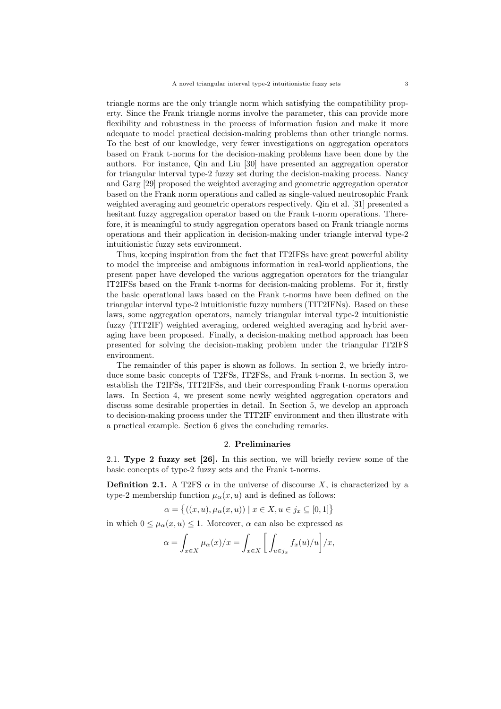triangle norms are the only triangle norm which satisfying the compatibility property. Since the Frank triangle norms involve the parameter, this can provide more flexibility and robustness in the process of information fusion and make it more adequate to model practical decision-making problems than other triangle norms. To the best of our knowledge, very fewer investigations on aggregation operators based on Frank t-norms for the decision-making problems have been done by the authors. For instance, Qin and Liu [30] have presented an aggregation operator for triangular interval type-2 fuzzy set during the decision-making process. Nancy and Garg [29] proposed the weighted averaging and geometric aggregation operator based on the Frank norm operations and called as single-valued neutrosophic Frank weighted averaging and geometric operators respectively. Qin et al. [31] presented a hesitant fuzzy aggregation operator based on the Frank t-norm operations. Therefore, it is meaningful to study aggregation operators based on Frank triangle norms operations and their application in decision-making under triangle interval type-2 intuitionistic fuzzy sets environment.

Thus, keeping inspiration from the fact that IT2IFSs have great powerful ability to model the imprecise and ambiguous information in real-world applications, the present paper have developed the various aggregation operators for the triangular IT2IFSs based on the Frank t-norms for decision-making problems. For it, firstly the basic operational laws based on the Frank t-norms have been defined on the triangular interval type-2 intuitionistic fuzzy numbers (TIT2IFNs). Based on these laws, some aggregation operators, namely triangular interval type-2 intuitionistic fuzzy (TIT2IF) weighted averaging, ordered weighted averaging and hybrid averaging have been proposed. Finally, a decision-making method approach has been presented for solving the decision-making problem under the triangular IT2IFS environment.

The remainder of this paper is shown as follows. In section 2, we briefly introduce some basic concepts of T2FSs, IT2FSs, and Frank t-norms. In section 3, we establish the T2IFSs, TIT2IFSs, and their corresponding Frank t-norms operation laws. In Section 4, we present some newly weighted aggregation operators and discuss some desirable properties in detail. In Section 5, we develop an approach to decision-making process under the TIT2IF environment and then illustrate with a practical example. Section 6 gives the concluding remarks.

#### 2. **Preliminaries**

2.1. **Type 2 fuzzy set [26].** In this section, we will briefly review some of the basic concepts of type-2 fuzzy sets and the Frank t-norms.

**Definition 2.1.** A T2FS  $\alpha$  in the universe of discourse *X*, is characterized by a type-2 membership function  $\mu_{\alpha}(x, u)$  and is defined as follows:

$$
\alpha = \{ ((x, u), \mu_{\alpha}(x, u)) \mid x \in X, u \in j_x \subseteq [0, 1] \}
$$

in which  $0 \leq \mu_{\alpha}(x, u) \leq 1$ . Moreover,  $\alpha$  can also be expressed as

$$
\alpha = \int_{x \in X} \mu_{\alpha}(x)/x = \int_{x \in X} \left[ \int_{u \in j_x} f_x(u)/u \right] / x,
$$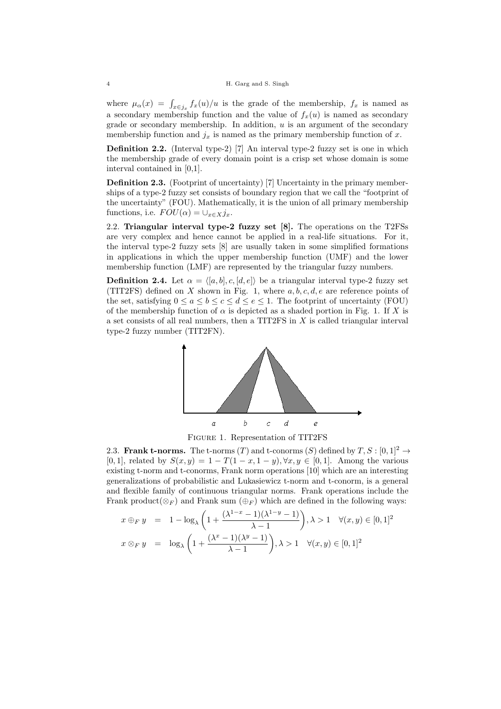### 4 H. Garg and S. Singh

where  $\mu_{\alpha}(x) = \int_{x \in j_x} f_x(u)/u$  is the grade of the membership,  $f_x$  is named as a secondary membership function and the value of  $f_x(u)$  is named as secondary grade or secondary membership. In addition, *u* is an argument of the secondary membership function and  $j_x$  is named as the primary membership function of  $x$ .

**Definition 2.2.** (Interval type-2) [7] An interval type-2 fuzzy set is one in which the membership grade of every domain point is a crisp set whose domain is some interval contained in [0,1].

**Definition 2.3.** (Footprint of uncertainty) [7] Uncertainty in the primary memberships of a type-2 fuzzy set consists of boundary region that we call the "footprint of the uncertainty" (FOU). Mathematically, it is the union of all primary membership functions, i.e.  $FOU(\alpha) = \cup_{x \in X} j_x$ .

2.2. **Triangular interval type-2 fuzzy set [8].** The operations on the T2FSs are very complex and hence cannot be applied in a real-life situations. For it, the interval type-2 fuzzy sets [8] are usually taken in some simplified formations in applications in which the upper membership function (UMF) and the lower membership function (LMF) are represented by the triangular fuzzy numbers.

**Definition 2.4.** Let  $\alpha = \langle [a, b], c, [d, e] \rangle$  be a triangular interval type-2 fuzzy set (TIT2FS) defined on *X* shown in Fig. 1, where *a, b, c, d, e* are reference points of the set, satisfying  $0 \le a \le b \le c \le d \le e \le 1$ . The footprint of uncertainty (FOU) of the membership function of  $\alpha$  is depicted as a shaded portion in Fig. 1. If X is a set consists of all real numbers, then a TIT2FS in *X* is called triangular interval type-2 fuzzy number (TIT2FN).





2.3. **Frank t-norms.** The t-norms  $(T)$  and t-conorms  $(S)$  defined by  $T, S : [0, 1]^2 \rightarrow$  $[0,1]$ , related by  $S(x,y) = 1 - T(1-x, 1-y)$ ,  $\forall x, y \in [0,1]$ . Among the various existing t-norm and t-conorms, Frank norm operations [10] which are an interesting generalizations of probabilistic and Lukasiewicz t-norm and t-conorm, is a general and flexible family of continuous triangular norms. Frank operations include the Frank product( $\otimes$ <sup>*F*</sup>) and Frank sum ( $\oplus$ <sup>*F*</sup>) which are defined in the following ways:

$$
x \oplus_F y = 1 - \log_{\lambda} \left( 1 + \frac{(\lambda^{1-x} - 1)(\lambda^{1-y} - 1)}{\lambda - 1} \right), \lambda > 1 \quad \forall (x, y) \in [0, 1]^2
$$
  

$$
x \otimes_F y = \log_{\lambda} \left( 1 + \frac{(\lambda^x - 1)(\lambda^y - 1)}{\lambda - 1} \right), \lambda > 1 \quad \forall (x, y) \in [0, 1]^2
$$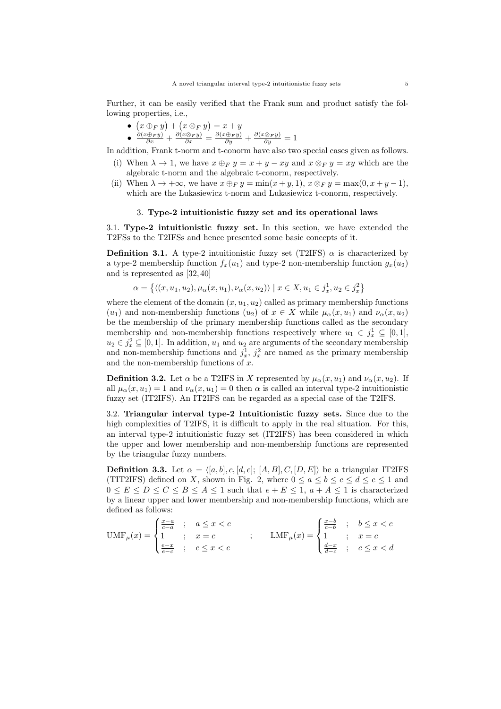Further, it can be easily verified that the Frank sum and product satisfy the following properties, i.e.,

●  $(x \oplus_F y) + (x \otimes_F y) = x + y$ •  $\frac{\partial(x\oplus_F y)}{\partial x} + \frac{\partial(x\otimes_F y)}{\partial x} = \frac{\partial(x\oplus_F y)}{\partial y} + \frac{\partial(x\otimes_F y)}{\partial y} = 1$ 

In addition, Frank t-norm and t-conorm have also two special cases given as follows.

- (i) When  $\lambda \to 1$ , we have  $x \oplus_F y = x + y xy$  and  $x \otimes_F y = xy$  which are the algebraic t-norm and the algebraic t-conorm, respectively.
- (ii) When  $\lambda \to +\infty$ , we have  $x \oplus_F y = \min(x+y, 1)$ ,  $x \otimes_F y = \max(0, x+y-1)$ , which are the Lukasiewicz t-norm and Lukasiewicz t-conorm, respectively.

#### 3. **Type-2 intuitionistic fuzzy set and its operational laws**

3.1. **Type-2 intuitionistic fuzzy set.** In this section, we have extended the T2FSs to the T2IFSs and hence presented some basic concepts of it.

**Definition 3.1.** A type-2 intuitionistic fuzzy set (T2IFS)  $\alpha$  is characterized by a type-2 membership function  $f_x(u_1)$  and type-2 non-membership function  $g_x(u_2)$ and is represented as [32, 40]

$$
\alpha = \{ \langle (x, u_1, u_2), \mu_\alpha(x, u_1), \nu_\alpha(x, u_2) \rangle \mid x \in X, u_1 \in j_x^1, u_2 \in j_x^2 \}
$$

where the element of the domain  $(x, u_1, u_2)$  called as primary membership functions (*u*<sub>1</sub>) and non-membership functions (*u*<sub>2</sub>) of  $x \in X$  while  $\mu_{\alpha}(x, u_1)$  and  $\nu_{\alpha}(x, u_2)$ be the membership of the primary membership functions called as the secondary membership and non-membership functions respectively where  $u_1 \in j_x^1 \subseteq [0,1]$ ,  $u_2 \in j_x^2 \subseteq [0,1]$ . In addition,  $u_1$  and  $u_2$  are arguments of the secondary membership and non-membership functions and  $j_x^1$ ,  $j_x^2$  are named as the primary membership and the non-membership functions of *x*.

**Definition 3.2.** Let  $\alpha$  be a T2IFS in *X* represented by  $\mu_{\alpha}(x, u_1)$  and  $\nu_{\alpha}(x, u_2)$ . If all  $\mu_{\alpha}(x, u_1) = 1$  and  $\nu_{\alpha}(x, u_1) = 0$  then  $\alpha$  is called an interval type-2 intuitionistic fuzzy set (IT2IFS). An IT2IFS can be regarded as a special case of the T2IFS.

3.2. **Triangular interval type-2 Intuitionistic fuzzy sets.** Since due to the high complexities of T2IFS, it is difficult to apply in the real situation. For this, an interval type-2 intuitionistic fuzzy set (IT2IFS) has been considered in which the upper and lower membership and non-membership functions are represented by the triangular fuzzy numbers.

**Definition 3.3.** Let  $\alpha = \langle [a, b], c, [d, e]; [A, B], C, [D, E] \rangle$  be a triangular IT2IFS (TIT2IFS) defined on *X*, shown in Fig. 2, where  $0 \le a \le b \le c \le d \le e \le 1$  and  $0 \leq E \leq D \leq C \leq B \leq A \leq 1$  such that  $e + E \leq 1$ ,  $a + A \leq 1$  is characterized by a linear upper and lower membership and non-membership functions, which are defined as follows:

$$
\text{UMF}_{\mu}(x) = \begin{cases} \frac{x-a}{c-a} & ; & a \leq x < c \\ 1 & ; & x = c \\ \frac{e-x}{e-c} & ; & c \leq x < e \end{cases} \qquad ; \qquad \text{LMF}_{\mu}(x) = \begin{cases} \frac{x-b}{c-b} & ; & b \leq x < c \\ 1 & ; & x = c \\ \frac{d-x}{d-c} & ; & c \leq x < d \end{cases}
$$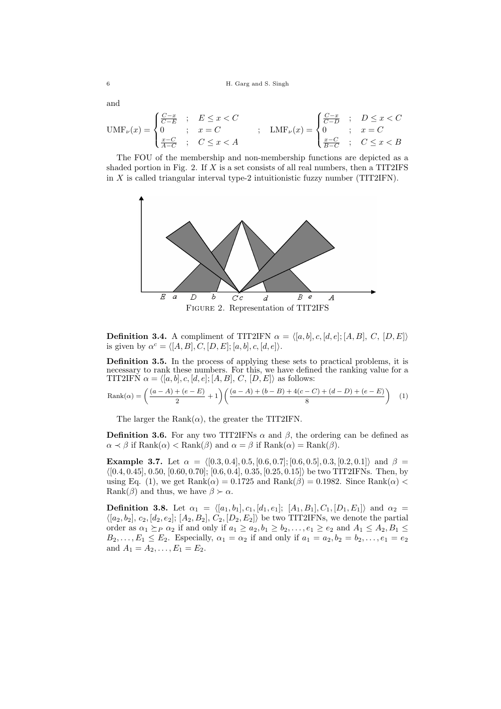and

$$
UMF_{\nu}(x) = \begin{cases} \frac{C-x}{C-E} & ; & E \leq x < C \\ 0 & ; & x = C \\ \frac{x-C}{A-C} & ; & C \leq x < A \end{cases} ; \quad LMF_{\nu}(x) = \begin{cases} \frac{C-x}{C-D} & ; & D \leq x < C \\ 0 & ; & x = C \\ \frac{x-C}{B-C} & ; & C \leq x < B \end{cases}
$$

The FOU of the membership and non-membership functions are depicted as a shaded portion in Fig. 2. If *X* is a set consists of all real numbers, then a TIT2IFS in *X* is called triangular interval type-2 intuitionistic fuzzy number (TIT2IFN).



**Definition 3.4.** A compliment of TIT2IFN  $\alpha = \langle [a, b], c, [d, e]; [A, B], C, [D, E] \rangle$ is given by  $\alpha^c = \langle [A, B], C, [D, E]; [a, b], c, [d, e] \rangle$ .

**Definition 3.5.** In the process of applying these sets to practical problems, it is necessary to rank these numbers. For this, we have defined the ranking value for a TIT2IFN  $\alpha = \langle [a, b], c, [d, e]; [A, B], C, [D, E] \rangle$  as follows:

$$
Rank(\alpha) = \left(\frac{(a-A)+(e-E)}{2} + 1\right) \left(\frac{(a-A)+(b-B)+4(c-C)+(d-D)+(e-E)}{8}\right) (1)
$$

The larger the Rank $(\alpha)$ , the greater the TIT2IFN.

**Definition 3.6.** For any two TIT2IFNs  $\alpha$  and  $\beta$ , the ordering can be defined as  $\alpha \prec \beta$  if Rank $(\alpha) <$  Rank $(\beta)$  and  $\alpha = \beta$  if Rank $(\alpha) =$  Rank $(\beta)$ .

**Example 3.7.** Let  $\alpha = \langle [0.3, 0.4], 0.5, [0.6, 0.7]; [0.6, 0.5], 0.3, [0.2, 0.1] \rangle$  and  $\beta =$ *⟨*[0*.*4*,* 0*.*45], 0*.*50, [0*.*60*,* 0*.*70]; [0*.*6*,* 0*.*4], 0*.*35*,* [0*.*25*,* 0*.*15]*⟩* be two TIT2IFNs. Then, by using Eq. (1), we get  $\text{Rank}(\alpha) = 0.1725$  and  $\text{Rank}(\beta) = 0.1982$ . Since  $\text{Rank}(\alpha)$ Rank( $\beta$ ) and thus, we have  $\beta \succ \alpha$ .

**Definition 3.8.** Let  $\alpha_1 = \langle [a_1, b_1], c_1, [d_1, e_1]; [A_1, B_1], C_1, [D_1, E_1] \rangle$  and  $\alpha_2 =$  $\langle [a_2, b_2], c_2, [d_2, e_2]; [A_2, B_2], C_2, [D_2, E_2] \rangle$  be two TIT2IFNs, we denote the partial order as  $\alpha_1 \succeq_P \alpha_2$  if and only if  $a_1 \ge a_2, b_1 \ge b_2, \ldots, e_1 \ge e_2$  and  $A_1 \le A_2, B_1 \le$  $B_2, \ldots, E_1 \leq E_2$ . Especially,  $\alpha_1 = \alpha_2$  if and only if  $a_1 = a_2, b_2 = b_2, \ldots, e_1 = e_2$ and  $A_1 = A_2, \ldots, E_1 = E_2$ .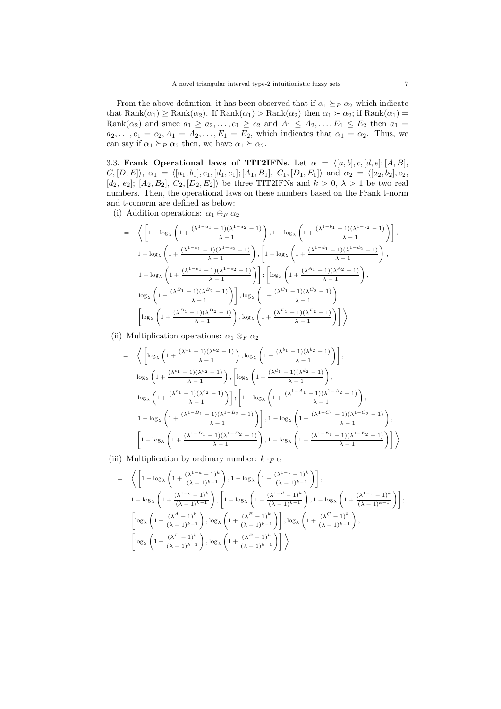From the above definition, it has been observed that if  $\alpha_1 \succeq_P \alpha_2$  which indicate that  $\text{Rank}(\alpha_1) \ge \text{Rank}(\alpha_2)$ . If  $\text{Rank}(\alpha_1) > \text{Rank}(\alpha_2)$  then  $\alpha_1 \succ \alpha_2$ ; if  $\text{Rank}(\alpha_1) =$ Rank $(\alpha_2)$  and since  $a_1 \ge a_2, \ldots, e_1 \ge e_2$  and  $A_1 \le A_2, \ldots, E_1 \le E_2$  then  $a_1 =$  $a_2, \ldots, e_1 = e_2, A_1 = A_2, \ldots, E_1 = E_2$ , which indicates that  $\alpha_1 = \alpha_2$ . Thus, we can say if  $\alpha_1 \succeq_P \alpha_2$  then, we have  $\alpha_1 \succeq \alpha_2$ .

3.3. **Frank Operational laws of TIT2IFNs.** Let  $\alpha = \langle [a, b], c, [d, e]; [A, B],$  $C, [D, E], \ \alpha_1 = \langle [a_1, b_1], c_1, [d_1, e_1]; [A_1, B_1], C_1, [D_1, E_1] \rangle \text{ and } \alpha_2 = \langle [a_2, b_2], c_2,$  $[d_2, e_2]$ ;  $[A_2, B_2]$ ,  $C_2$ ,  $[D_2, E_2]$ *)* be three TIT2IFNs and  $k > 0$ ,  $\lambda > 1$  be two real numbers. Then, the operational laws on these numbers based on the Frank t-norm and t-conorm are defined as below:

(i) Addition operations:  $\alpha_1 \oplus_F \alpha_2$ 

$$
= \left\langle \left[1 - \log_{\lambda}\left(1 + \frac{(\lambda^{1-a_1}-1)(\lambda^{1-a_2}-1)}{\lambda-1}\right), 1 - \log_{\lambda}\left(1 + \frac{(\lambda^{1-b_1}-1)(\lambda^{1-b_2}-1)}{\lambda-1}\right)\right],
$$
  
\n
$$
1 - \log_{\lambda}\left(1 + \frac{(\lambda^{1-c_1}-1)(\lambda^{1-c_2}-1)}{\lambda-1}\right), \left[1 - \log_{\lambda}\left(1 + \frac{(\lambda^{1-d_1}-1)(\lambda^{1-d_2}-1)}{\lambda-1}\right),\right]
$$
  
\n
$$
1 - \log_{\lambda}\left(1 + \frac{(\lambda^{1-c_1}-1)(\lambda^{1-c_2}-1)}{\lambda-1}\right) \left[\log_{\lambda}\left(1 + \frac{(\lambda^{A_1}-1)(\lambda^{A_2}-1)}{\lambda-1}\right),\right]
$$
  
\n
$$
\log_{\lambda}\left(1 + \frac{(\lambda^{B_1}-1)(\lambda^{B_2}-1)}{\lambda-1}\right) \left[\log_{\lambda}\left(1 + \frac{(\lambda^{C_1}-1)(\lambda^{C_2}-1)}{\lambda-1}\right),\right]
$$
  
\n
$$
\left[\log_{\lambda}\left(1 + \frac{(\lambda^{D_1}-1)(\lambda^{D_2}-1)}{\lambda-1}\right), \log_{\lambda}\left(1 + \frac{(\lambda^{E_1}-1)(\lambda^{E_2}-1)}{\lambda-1}\right)\right] \right\rangle
$$

(ii) Multiplication operations:  $\alpha_1 \otimes_F \alpha_2$ 

$$
= \left\langle \left[ \log_{\lambda} \left( 1 + \frac{(\lambda^{a_1} - 1)(\lambda^{a_2} - 1)}{\lambda - 1} \right), \log_{\lambda} \left( 1 + \frac{(\lambda^{b_1} - 1)(\lambda^{b_2} - 1)}{\lambda - 1} \right) \right], \log_{\lambda} \left( 1 + \frac{(\lambda^{c_1} - 1)(\lambda^{c_2} - 1)}{\lambda - 1} \right), \log_{\lambda} \left( 1 + \frac{(\lambda^{d_1} - 1)(\lambda^{d_2} - 1)}{\lambda - 1} \right), \log_{\lambda} \left( 1 + \frac{(\lambda^{c_1} - 1)(\lambda^{c_2} - 1)}{\lambda - 1} \right), \log_{\lambda} \left( 1 + \frac{(\lambda^{c_1} - 1)(\lambda^{c_2} - 1)}{\lambda - 1} \right), \log_{\lambda} \left( 1 + \frac{(\lambda^{1 - A_1} - 1)(\lambda^{1 - A_2} - 1)}{\lambda - 1} \right), \log_{\lambda} \left( 1 + \frac{(\lambda^{1 - B_1} - 1)(\lambda^{1 - B_2} - 1)}{\lambda - 1} \right), 1 - \log_{\lambda} \left( 1 + \frac{(\lambda^{1 - C_1} - 1)(\lambda^{1 - C_2} - 1)}{\lambda - 1} \right), \log_{\lambda} \left( 1 + \frac{(\lambda^{1 - C_1} - 1)(\lambda^{1 - C_2} - 1)}{\lambda - 1} \right) \right\}
$$

(iii) Multiplication by ordinary number:  $k \cdot F \alpha$ 

$$
\begin{array}{l} \displaystyle =\;\;\; \left\langle \;\left[1-\log_{\lambda}\left(1+\frac{(\lambda^{1-a}-1)^{k}}{(\lambda-1)^{k-1}}\right),1-\log_{\lambda}\left(1+\frac{(\lambda^{1-b}-1)^{k}}{(\lambda-1)^{k-1}}\right)\right],\right.\\ \\ \displaystyle \left.1-\log_{\lambda}\left(1+\frac{(\lambda^{1-c}-1)^{k}}{(\lambda-1)^{k-1}}\right),\left[1-\log_{\lambda}\left(1+\frac{(\lambda^{1-d}-1)^{k}}{(\lambda-1)^{k-1}}\right),1-\log_{\lambda}\left(1+\frac{(\lambda^{1-c}-1)^{k}}{(\lambda-1)^{k-1}}\right)\right],\right.\\ \\ \displaystyle \left.\left[\log_{\lambda}\left(1+\frac{(\lambda^{A}-1)^{k}}{(\lambda-1)^{k-1}}\right),\log_{\lambda}\left(1+\frac{(\lambda^{B}-1)^{k}}{(\lambda-1)^{k-1}}\right)\right],\log_{\lambda}\left(1+\frac{(\lambda^{C}-1)^{k}}{(\lambda-1)^{k-1}}\right),\right.\\ \\ \displaystyle \left.\left[\log_{\lambda}\left(1+\frac{(\lambda^{D}-1)^{k}}{(\lambda-1)^{k-1}}\right),\log_{\lambda}\left(1+\frac{(\lambda^{E}-1)^{k}}{(\lambda-1)^{k-1}}\right)\right]\right\rangle \end{array}
$$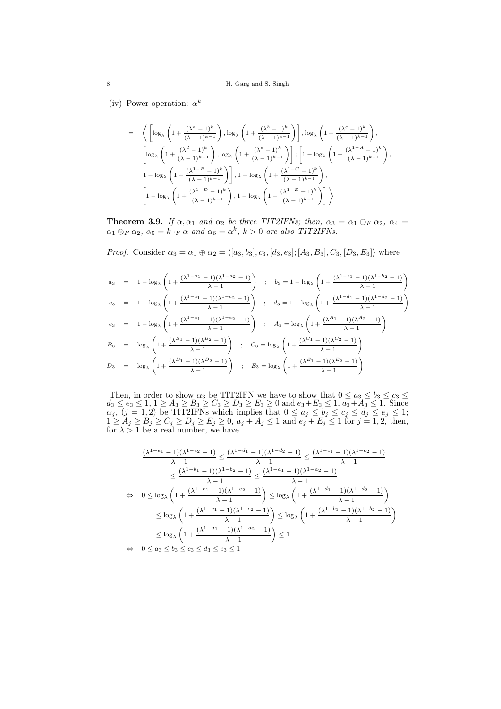(iv) Power operation:  $\alpha^k$ 

$$
\begin{array}{ll} = & \displaystyle \left\langle \left[ \log_{\lambda} \left( 1 + \frac{(\lambda^a - 1)^k}{(\lambda - 1)^{k-1}} \right), \log_{\lambda} \left( 1 + \frac{(\lambda^b - 1)^k}{(\lambda - 1)^{k-1}} \right) \right], \log_{\lambda} \left( 1 + \frac{(\lambda^c - 1)^k}{(\lambda - 1)^{k-1}} \right), \right. \\ & & \displaystyle \left[ \log_{\lambda} \left( 1 + \frac{(\lambda^d - 1)^k}{(\lambda - 1)^{k-1}} \right), \log_{\lambda} \left( 1 + \frac{(\lambda^e - 1)^k}{(\lambda - 1)^{k-1}} \right) \right]; \left[ 1 - \log_{\lambda} \left( 1 + \frac{(\lambda^{1-A} - 1)^k}{(\lambda - 1)^{k-1}} \right), \right. \\ & & \displaystyle \left. 1 - \log_{\lambda} \left( 1 + \frac{(\lambda^{1-B} - 1)^k}{(\lambda - 1)^{k-1}} \right) \right], 1 - \log_{\lambda} \left( 1 + \frac{(\lambda^{1-C} - 1)^k}{(\lambda - 1)^{k-1}} \right), \right. \\ & & \displaystyle \left. \left[ 1 - \log_{\lambda} \left( 1 + \frac{(\lambda^{1-D} - 1)^k}{(\lambda - 1)^{k-1}} \right), 1 - \log_{\lambda} \left( 1 + \frac{(\lambda^{1-E} - 1)^k}{(\lambda - 1)^{k-1}} \right) \right] \right\rangle \end{array}
$$

**Theorem 3.9.** *If*  $\alpha, \alpha_1$  *and*  $\alpha_2$  *be three TIT2IFNs; then,*  $\alpha_3 = \alpha_1 \oplus_F \alpha_2$ ,  $\alpha_4 =$  $\alpha_1 \otimes_F \alpha_2$ ,  $\alpha_5 = k \cdot_F \alpha$  and  $\alpha_6 = \alpha^k$ ,  $k > 0$  are also TIT2IFNs.

*Proof.* Consider  $\alpha_3 = \alpha_1 \oplus \alpha_2 = \langle [a_3, b_3], c_3, [d_3, e_3]; [A_3, B_3], C_3, [D_3, E_3] \rangle$  where

$$
\begin{array}{rcl} a_3 & = & 1 - \log_{\lambda} \left( 1 + \frac{(\lambda^{1-a_1} - 1)(\lambda^{1-a_2} - 1)}{\lambda - 1} \right) \\[2mm] c_3 & = & 1 - \log_{\lambda} \left( 1 + \frac{(\lambda^{1-c_1} - 1)(\lambda^{1-c_2} - 1)}{\lambda - 1} \right) \\[2mm] c_3 & = & 1 - \log_{\lambda} \left( 1 + \frac{(\lambda^{1-c_1} - 1)(\lambda^{1-c_2} - 1)}{\lambda - 1} \right) \\[2mm] c_3 & = & 1 - \log_{\lambda} \left( 1 + \frac{(\lambda^{1-c_1} - 1)(\lambda^{1-c_2} - 1)}{\lambda - 1} \right) \\[2mm] c_3 & = & 1 - \log_{\lambda} \left( 1 + \frac{(\lambda^{1-c_1} - 1)(\lambda^{1-c_2} - 1)}{\lambda - 1} \right) \\[2mm] B_3 & = & \log_{\lambda} \left( 1 + \frac{(\lambda^{B_1} - 1)(\lambda^{B_2} - 1)}{\lambda - 1} \right) \\[2mm] B_3 & = & \log_{\lambda} \left( 1 + \frac{(\lambda^{B_1} - 1)(\lambda^{B_2} - 1)}{\lambda - 1} \right) \\[2mm] B_3 & = & \log_{\lambda} \left( 1 + \frac{(\lambda^{C_1} - 1)(\lambda^{C_2} - 1)}{\lambda - 1} \right) \\[2mm] B_3 & = & \log_{\lambda} \left( 1 + \frac{(\lambda^{D_1} - 1)(\lambda^{D_2} - 1)}{\lambda - 1} \right) \\[2mm] B_3 & = & \log_{\lambda} \left( 1 + \frac{(\lambda^{B_1} - 1)(\lambda^{B_2} - 1)}{\lambda - 1} \right) \\[2mm] B_3 & = & \log_{\lambda} \left( 1 + \frac{(\lambda^{B_1} - 1)(\lambda^{B_2} - 1)}{\lambda - 1} \right) \\[2mm] B_3 & = & \log_{\lambda} \left( 1 + \frac{(\lambda^{B_1} - 1)(\lambda^{B_2} - 1)}{\lambda - 1} \right) \\[2mm] B_3 & = & \log_{\lambda} \left( 1 + \frac{(\lambda^{B_1} - 1)(\lambda^{B_2} - 1)}
$$

Then, in order to show  $\alpha_3$  be TIT2IFN we have to show that  $0 \le a_3 \le b_3 \le c_3 \le$  $d_3 \le e_3 \le 1, 1 \ge A_3 \ge B_3 \ge C_3 \ge D_3 \ge E_3 \ge 0$  and  $e_3 + E_3 \le 1, a_3 + A_3 \le 1$ . Since  $\alpha_j$ ,  $(j = 1, 2)$  be TIT2IFNs which implies that  $0 \le a_j \le b_j \le c_j \le d_j \le e_j \le 1$ ;  $1 \ge A_j \ge B_j \ge C_j \ge D_j \ge E_j \ge 0$ ,  $a_j + A_j \le 1$  and  $e_j + E_j \le 1$  for  $j = 1, 2$ , then, for  $\lambda > 1$  be a real number, we have

$$
\frac{(\lambda^{1-e_1}-1)(\lambda^{1-e_2}-1)}{\lambda-1} \le \frac{(\lambda^{1-d_1}-1)(\lambda^{1-d_2}-1)}{\lambda-1} \le \frac{(\lambda^{1-e_1}-1)(\lambda^{1-e_2}-1)}{\lambda-1}
$$
  

$$
\le \frac{(\lambda^{1-b_1}-1)(\lambda^{1-b_2}-1)}{\lambda-1} \le \frac{(\lambda^{1-a_1}-1)(\lambda^{1-a_2}-1)}{\lambda-1}
$$
  

$$
\Leftrightarrow 0 \le \log_{\lambda} \left(1 + \frac{(\lambda^{1-e_1}-1)(\lambda^{1-e_2}-1)}{\lambda-1}\right) \le \log_{\lambda} \left(1 + \frac{(\lambda^{1-d_1}-1)(\lambda^{1-d_2}-1)}{\lambda-1}\right)
$$
  

$$
\le \log_{\lambda} \left(1 + \frac{(\lambda^{1-e_1}-1)(\lambda^{1-e_2}-1)}{\lambda-1}\right) \le \log_{\lambda} \left(1 + \frac{(\lambda^{1-b_1}-1)(\lambda^{1-b_2}-1)}{\lambda-1}\right)
$$
  

$$
\le \log_{\lambda} \left(1 + \frac{(\lambda^{1-a_1}-1)(\lambda^{1-a_2}-1)}{\lambda-1}\right) \le 1
$$
  

$$
\Leftrightarrow 0 \le a_3 \le b_3 \le c_3 \le d_3 \le e_3 \le 1
$$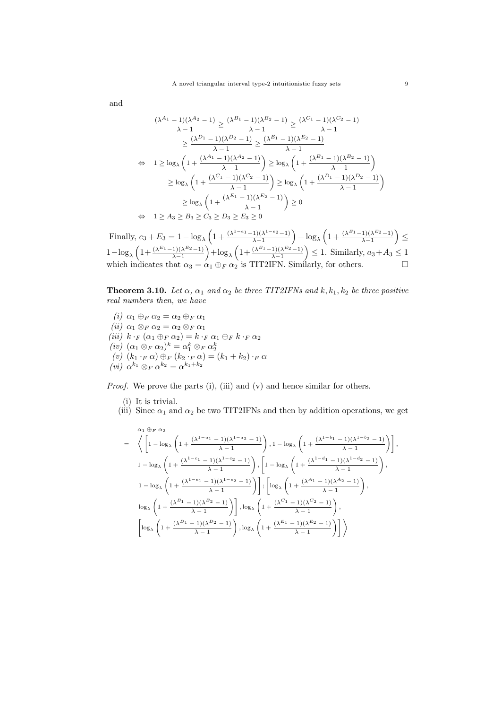and

$$
\frac{(\lambda^{A_1}-1)(\lambda^{A_2}-1)}{\lambda-1} \ge \frac{(\lambda^{B_1}-1)(\lambda^{B_2}-1)}{\lambda-1} \ge \frac{(\lambda^{C_1}-1)(\lambda^{C_2}-1)}{\lambda-1}
$$

$$
\ge \frac{(\lambda^{D_1}-1)(\lambda^{D_2}-1)}{\lambda-1} \ge \frac{(\lambda^{E_1}-1)(\lambda^{E_2}-1)}{\lambda-1}
$$

$$
\Leftrightarrow 1 \ge \log_{\lambda} \left(1 + \frac{(\lambda^{A_1}-1)(\lambda^{A_2}-1)}{\lambda-1}\right) \ge \log_{\lambda} \left(1 + \frac{(\lambda^{B_1}-1)(\lambda^{B_2}-1)}{\lambda-1}\right)
$$

$$
\ge \log_{\lambda} \left(1 + \frac{(\lambda^{C_1}-1)(\lambda^{C_2}-1)}{\lambda-1}\right) \ge \log_{\lambda} \left(1 + \frac{(\lambda^{D_1}-1)(\lambda^{D_2}-1)}{\lambda-1}\right)
$$

$$
\ge \log_{\lambda} \left(1 + \frac{(\lambda^{E_1}-1)(\lambda^{E_2}-1)}{\lambda-1}\right) \ge 0
$$

$$
\Leftrightarrow 1 \ge A_3 \ge B_3 \ge C_3 \ge D_3 \ge E_3 \ge 0
$$

Finally,  $e_3 + E_3 = 1 - \log_{\lambda} \left( 1 + \frac{(\lambda^{1-e_1} - 1)(\lambda^{1-e_2} - 1)}{\lambda - 1} \right)$  $\frac{1}{\lambda - 1}$ ( $\lambda^{1 - e_2} - 1$ ) + log<sub>λ</sub> (1 +  $\frac{(\lambda^{E_1} - 1)(\lambda^{E_2} - 1)}{\lambda - 1}$  $\frac{(1)(\lambda^{E_2}-1)}{\lambda-1}\Big)\leq$  $1-\log_\lambda\left(1+\frac{(\lambda^{E_1}-1)(\lambda^{E_2}-1)}{\lambda-1}\right)$  $\frac{1}{\lambda - 1}$ ( $\lambda^{E_2}$ *-*1)( $\lambda$ <sup>E<sub>1</sub></sub>-1)( $\lambda$ <sup>E<sub>2</sub>-1)</sup></sup>  $\left(\frac{1}{\lambda-1}\right)^{(\lambda^{E_2}-1)}$  *≤* 1. Similarly,  $a_3+A_3 \leq 1$ which indicates that  $\alpha_3 = \alpha_1 \oplus_F \alpha_2$  is TIT2IFN. Similarly, for others.

**Theorem 3.10.** *Let*  $\alpha$ ,  $\alpha_1$  *and*  $\alpha_2$  *be three TIT2IFNs and*  $k, k_1, k_2$  *be three positive real numbers then, we have*

 $(i)$   $α_1 ⊕_F α_2 = α_2 ⊕_F α_1$  $(iii)$   $\alpha_1 \otimes_F \alpha_2 = \alpha_2 \otimes_F \alpha_1$  $(iii)$   $k \cdot_F (\alpha_1 \oplus_F \alpha_2) = k \cdot_F \alpha_1 \oplus_F k \cdot_F \alpha_2$ (iv)  $(\alpha_1 \otimes_F \alpha_2)^k = \alpha_1^k \otimes_F \alpha_2^k$ <br>
(v)  $(k_1 \cdot_F \alpha) \oplus_F (k_2 \cdot_F \alpha) = (k_1 + k_2) \cdot_F \alpha$ *(vi)*  $\alpha^{k_1} \otimes_F \alpha^{k_2} = \alpha^{k_1+k_2}$ 

*Proof.* We prove the parts (i), (iii) and (v) and hence similar for others.

- (i) It is trivial.
- (iii) Since  $\alpha_1$  and  $\alpha_2$  be two TIT2IFNs and then by addition operations, we get

$$
\begin{array}{ll} \alpha_1\oplus_F\alpha_2 & \\ = \left(\left[1-\log_{\lambda}\left(1+\frac{(\lambda^{1-a_1}-1)(\lambda^{1-a_2}-1)}{\lambda-1}\right),1-\log_{\lambda}\left(1+\frac{(\lambda^{1-b_1}-1)(\lambda^{1-b_2}-1)}{\lambda-1}\right)\right], \\ 1-\log_{\lambda}\left(1+\frac{(\lambda^{1-c_1}-1)(\lambda^{1-c_2}-1)}{\lambda-1}\right),\left[1-\log_{\lambda}\left(1+\frac{(\lambda^{1-d_1}-1)(\lambda^{1-d_2}-1)}{\lambda-1}\right),\\ 1-\log_{\lambda}\left(1+\frac{(\lambda^{1-c_1}-1)(\lambda^{1-c_2}-1)}{\lambda-1}\right)\right],\left[\log_{\lambda}\left(1+\frac{(\lambda^{A_1}-1)(\lambda^{A_2}-1)}{\lambda-1}\right),\\ \log_{\lambda}\left(1+\frac{(\lambda^{B_1}-1)(\lambda^{B_2}-1)}{\lambda-1}\right)\right],\log_{\lambda}\left(1+\frac{(\lambda^{C_1}-1)(\lambda^{C_2}-1)}{\lambda-1}\right),\\ \left[\log_{\lambda}\left(1+\frac{(\lambda^{D_1}-1)(\lambda^{D_2}-1)}{\lambda-1}\right),\log_{\lambda}\left(1+\frac{(\lambda^{E_1}-1)(\lambda^{E_2}-1)}{\lambda-1}\right)\right] \right\rbrace \end{array}
$$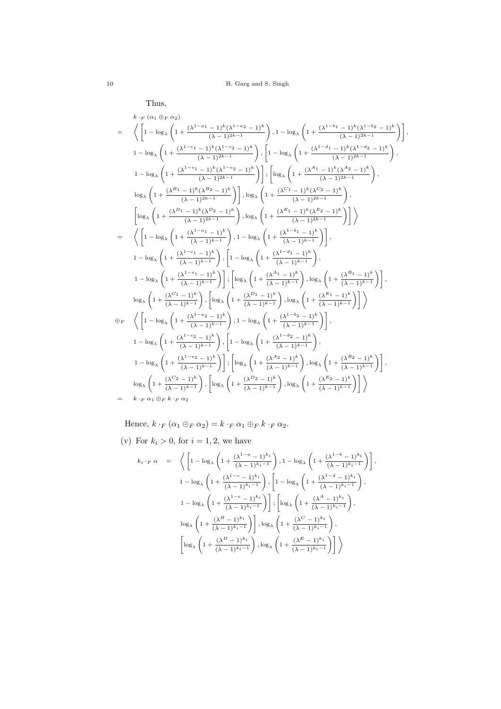Thus,

$$
\begin{array}{ll} & k \cdot_F \left( \alpha_1 \oplus_F \alpha_2 \right) \\ \\ &=& \left\langle \left[ 1 - \log_{\lambda} \left( 1 + \frac{(\lambda^{1-a_1} - 1)^k (\lambda^{1-a_2} - 1)^k}{(\lambda - 1)^{2k-1}} \right), 1 - \log_{\lambda} \left( 1 + \frac{(\lambda^{1-b_1} - 1)^k (\lambda^{1-b_2} - 1)^k}{(\lambda - 1)^{2k-1}} \right) \right] \right\rangle, \\ & 1 - \log_{\lambda} \left( 1 + \frac{(\lambda^{1-c_1} - 1)^k (\lambda^{1-c_2} - 1)^k}{(\lambda - 1)^{2k-1}} \right) \cdot \left[ 1 - \log_{\lambda} \left( 1 + \frac{(\lambda^{1-d_1} - 1)^k (\lambda^{1-d_2} - 1)^k}{(\lambda - 1)^{2k-1}} \right) \right\rangle, \\ & 1 - \log_{\lambda} \left( 1 + \frac{(\lambda^{1-a_1} - 1)^k (\lambda^{1-a_2} - 1)^k}{(\lambda - 1)^{2k-1}} \right) \right] \cdot \left[ \log_{\lambda} \left( 1 + \frac{(\lambda^{d_1} - 1)^k (\lambda^{d_2} - 1)^k}{(\lambda - 1)^{2k-1}} \right) \right\rangle, \\ & \log_{\lambda} \left( 1 + \frac{(\lambda^{B_1} - 1)^k (\lambda^{B_2} - 1)^k}{(\lambda - 1)^{2k-1}} \right) \right] \cdot \log_{\lambda} \left( 1 + \frac{(\lambda^{C_1} - 1)^k (\lambda^{C_2} - 1)^k}{(\lambda - 1)^{2k-1}} \right) \right\rangle \\ &=& \left\langle \left[ 1 - \log_{\lambda} \left( 1 + \frac{(\lambda^{1-a_1} - 1)^k}{(\lambda - 1)^{2k-1}} \right), 1 - \log_{\lambda} \left( 1 + \frac{(\lambda^{1-b_1} - 1)^k}{(\lambda - 1)^{2k-1}} \right) \right] \right\rangle \\ & 1 - \log_{\lambda} \left( 1 + \frac{(\lambda^{1-c_1} - 1)^k}{(\lambda - 1)^{k-1}} \right) \cdot \left[ 1 - \log_{\lambda} \left( 1 + \frac{(\lambda^{1-b_1} - 1)^k}{(\lambda - 1)^{k-1}} \
$$

Hence,  $k \cdot_F (\alpha_1 \oplus_F \alpha_2) = k \cdot_F \alpha_1 \oplus_F k \cdot_F \alpha_2$ .

(v) For  $k_i > 0$ , for  $i = 1, 2$ , we have

$$
k_i \cdot_F \alpha = \left\langle \left[ 1 - \log_{\lambda} \left( 1 + \frac{(\lambda^{1-a} - 1)^{k_i}}{(\lambda - 1)^{k_i - 1}} \right), 1 - \log_{\lambda} \left( 1 + \frac{(\lambda^{1-b} - 1)^{k_i}}{(\lambda - 1)^{k_i - 1}} \right) \right],
$$
  

$$
1 - \log_{\lambda} \left( 1 + \frac{(\lambda^{1-c} - 1)^{k_i}}{(\lambda - 1)^{k_i - 1}} \right), \left[ 1 - \log_{\lambda} \left( 1 + \frac{(\lambda^{1-d} - 1)^{k_i}}{(\lambda - 1)^{k_i - 1}} \right), \right]
$$
  

$$
1 - \log_{\lambda} \left( 1 + \frac{(\lambda^{1-c} - 1)^{k_i}}{(\lambda - 1)^{k_i - 1}} \right) \right]; \left[ \log_{\lambda} \left( 1 + \frac{(\lambda^A - 1)^{k_i}}{(\lambda - 1)^{k_i - 1}} \right), \right]
$$
  

$$
\log_{\lambda} \left( 1 + \frac{(\lambda^B - 1)^{k_i}}{(\lambda - 1)^{k_i - 1}} \right), \log_{\lambda} \left( 1 + \frac{(\lambda^C - 1)^{k_i}}{(\lambda - 1)^{k_i - 1}} \right),
$$
  

$$
\left[ \log_{\lambda} \left( 1 + \frac{(\lambda^D - 1)^{k_i}}{(\lambda - 1)^{k_i - 1}} \right), \log_{\lambda} \left( 1 + \frac{(\lambda^E - 1)^{k_i}}{(\lambda - 1)^{k_i - 1}} \right) \right] \right\rangle
$$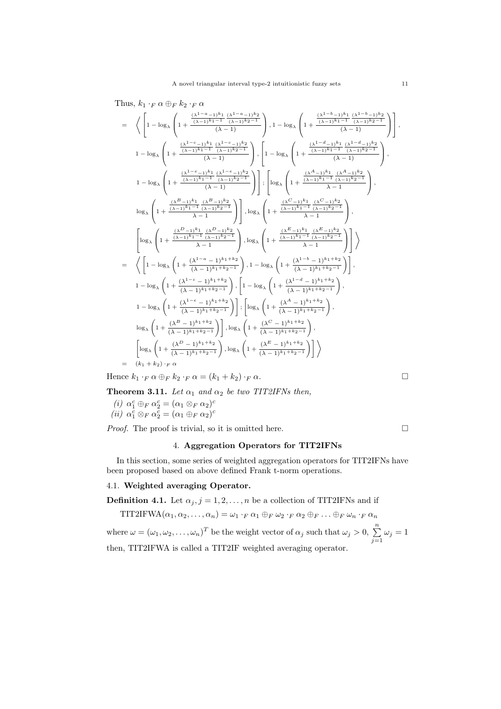Thus,  $k_1 \cdot_F \alpha \oplus_F k_2 \cdot_F \alpha$ 

$$
\begin{array}{l} =\displaystyle \left\langle \left[1-\log_{\lambda}\left(1+\frac{(\lambda^{1-a}-1)^{k_1}}{(\lambda-1)^{k_1-1}}\frac{(\lambda^{1-a}-1)^{k_2}}{(\lambda-1)^{k_2-1}}\right),1-\log_{\lambda}\left(1+\frac{(\lambda^{1-b}-1)^{k_1}}{(\lambda-1)^{k_1-1}}\frac{(\lambda^{1-b}-1)^{k_2}}{(\lambda-1)^{k_2-1}}\right)\right],\\ 1-\log_{\lambda}\left(1+\frac{(\lambda^{1-c}-1)^{k_1}}{(\lambda-1)^{k_2-1}}\frac{(\lambda^{1-c}-1)^{k_2}}{(\lambda-1)}\right),\left[1-\log_{\lambda}\left(1+\frac{(\lambda^{1-d}-1)^{k_1}}{(\lambda-1)^{k_2-1}}\frac{(\lambda^{1-d}-1)^{k_2}}{(\lambda-1)}\right)\right],\\ 1-\log_{\lambda}\left(1+\frac{(\lambda^{1-b}-1)^{k_1}}{(\lambda-1)^{k_1-1}}\frac{(\lambda^{1-b}-1)^{k_2}}{(\lambda-1)^{k_2-1}}\right)\right],\\ \displaystyle \log_{\lambda}\left(1+\frac{(\lambda^{1-b}+1)^{k_1}}{(\lambda-1)^{k_1-1}}\frac{(\lambda^{1-b}-1)^{k_2}}{(\lambda-1)^{k_2-1}}\right)\right],\\ \log_{\lambda}\left(1+\frac{(\lambda^{2-b}+1)^{k_1}}{(\lambda-1)^{k_2-1}}\right),\log_{\lambda}\left(1+\frac{(\lambda^{2-b}+1)^{k_1}}{(\lambda-1)^{k_2-1}}\frac{(\lambda^{2-b}+1)^{k_2}}{(\lambda-1)^{k_2-1}}\right),\\ \displaystyle \log_{\lambda}\left(1+\frac{(\lambda^{2-b}+1)^{k_1}}{(\lambda-1)^{k_1-1}}\frac{(\lambda^{1-b}-1)^{k_2}}{(\lambda-1)^{k_2-1}}\right),\log_{\lambda}\left(1+\frac{(\lambda^{1-b}-1)^{k_1}}{(\lambda-1)^{k_1-1}}\frac{(\lambda^{1-b}-1)^{k_2}}{(\lambda-1)^{k_2-1}}\right)\right)\right)\\ =\left\langle \left[1-\log_{\lambda}\left(1+\frac{(\lambda^{1-a}-1)^{k_1+k_2}}{(\lambda-1)^{k_
$$

Hence  $k_1 \cdot_F \alpha \oplus_F k_2 \cdot_F \alpha = (k_1 + k_2) \cdot_F \alpha$ .

**Theorem 3.11.** *Let*  $\alpha_1$  *and*  $\alpha_2$  *be two TIT2IFNs then,* 

 $(i)$   $\alpha_1^c \oplus_F \alpha_2^c = (\alpha_1 \otimes_F \alpha_2)^c$  $(iii) \ \alpha_1^c \otimes_F \alpha_2^c = (\alpha_1 \oplus_F \alpha_2)^c$ 

*Proof.* The proof is trivial, so it is omitted here.  $\Box$ 

## 4. **Aggregation Operators for TIT2IFNs**

In this section, some series of weighted aggregation operators for TIT2IFNs have been proposed based on above defined Frank t-norm operations.

## 4.1. **Weighted averaging Operator.**

**Definition 4.1.** Let  $\alpha_j$ ,  $j = 1, 2, \ldots, n$  be a collection of TIT2IFNs and if

TIT2IFWA
$$
(\alpha_1, \alpha_2, ..., \alpha_n) = \omega_1 \cdot_F \alpha_1 \oplus_F \omega_2 \cdot_F \alpha_2 \oplus_F ... \oplus_F \omega_n \cdot_F \alpha_n
$$
  
where  $\omega = (\omega_1, \omega_2, ..., \omega_n)^T$  be the weight vector of  $\alpha_j$  such that  $\omega_j > 0$ ,  $\sum_{j=1}^n \omega_j = 1$   
then, TIT2IFWA is called a TIT2IF weighted averaging operator.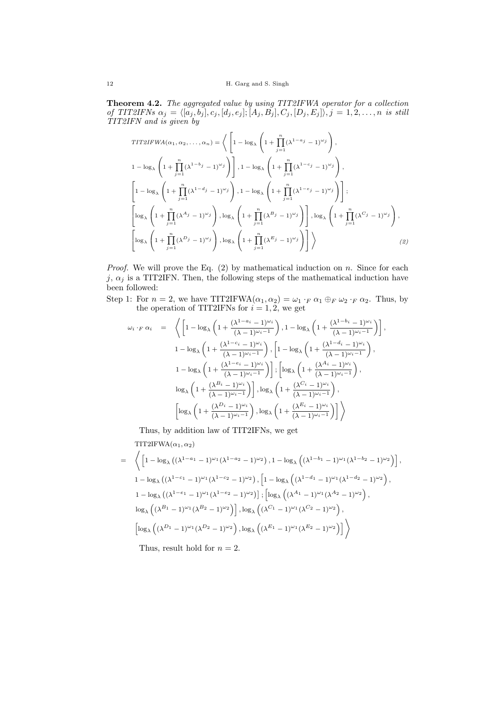**Theorem 4.2.** *The aggregated value by using TIT2IFWA operator for a collection* of TIT2IFNs  $\alpha_j = \langle [a_j, b_j], c_j, [d_j, e_j]; [A_j, B_j], C_j, [D_j, E_j] \rangle, j = 1, 2, \ldots, n$  is still *TIT2IFN and is given by*

TITZIFWA
$$
(\alpha_1, \alpha_2, ..., \alpha_n)
$$
 =  $\left\langle \left[ 1 - \log_{\lambda} \left( 1 + \prod_{j=1}^n (\lambda^{1-a_j} - 1)^{\omega_j} \right) , 1 - \log_{\lambda} \left( 1 + \prod_{j=1}^n (\lambda^{1-a_j} - 1)^{\omega_j} \right) \right],$   
\n
$$
1 - \log_{\lambda} \left( 1 + \prod_{j=1}^n (\lambda^{1-b_j} - 1)^{\omega_j} \right) \right], 1 - \log_{\lambda} \left( 1 + \prod_{j=1}^n (\lambda^{1-c_j} - 1)^{\omega_j} \right),
$$
  
\n
$$
\left[ 1 - \log_{\lambda} \left( 1 + \prod_{j=1}^n (\lambda^{1-d_j} - 1)^{\omega_j} \right) , 1 - \log_{\lambda} \left( 1 + \prod_{j=1}^n (\lambda^{1-c_j} - 1)^{\omega_j} \right) \right],
$$
  
\n
$$
\left[ \log_{\lambda} \left( 1 + \prod_{j=1}^n (\lambda^{a_j} - 1)^{\omega_j} \right) , \log_{\lambda} \left( 1 + \prod_{j=1}^n (\lambda^{B_j} - 1)^{\omega_j} \right) \right], \log_{\lambda} \left( 1 + \prod_{j=1}^n (\lambda^{C_j} - 1)^{\omega_j} \right),
$$
  
\n
$$
\left[ \log_{\lambda} \left( 1 + \prod_{j=1}^n (\lambda^{D_j} - 1)^{\omega_j} \right) , \log_{\lambda} \left( 1 + \prod_{j=1}^n (\lambda^{E_j} - 1)^{\omega_j} \right) \right] \right\rangle
$$
 (2)

*Proof.* We will prove the Eq. (2) by mathematical induction on *n*. Since for each  $j, \alpha_j$  is a TIT2IFN. Then, the following steps of the mathematical induction have been followed:

Step 1: For  $n = 2$ , we have TIT2IFWA $(\alpha_1, \alpha_2) = \omega_1 \cdot_F \alpha_1 \oplus_F \omega_2 \cdot_F \alpha_2$ . Thus, by the operation of TIT2IFNs for  $i = 1, 2$ , we get

$$
\omega_i \cdot_F \alpha_i = \left\langle \left[ 1 - \log_{\lambda} \left( 1 + \frac{(\lambda^{1-a_i} - 1)^{\omega_i}}{(\lambda - 1)^{\omega_i - 1}} \right), 1 - \log_{\lambda} \left( 1 + \frac{(\lambda^{1-b_i} - 1)^{\omega_i}}{(\lambda - 1)^{\omega_i - 1}} \right) \right],
$$
  

$$
1 - \log_{\lambda} \left( 1 + \frac{(\lambda^{1-c_i} - 1)^{\omega_i}}{(\lambda - 1)^{\omega_i - 1}} \right), \left[ 1 - \log_{\lambda} \left( 1 + \frac{(\lambda^{1-d_i} - 1)^{\omega_i}}{(\lambda - 1)^{\omega_i - 1}} \right) \right],
$$
  

$$
1 - \log_{\lambda} \left( 1 + \frac{(\lambda^{1-e_i} - 1)^{\omega_i}}{(\lambda - 1)^{\omega_i - 1}} \right) \right], \left[ \log_{\lambda} \left( 1 + \frac{(\lambda^{A_i} - 1)^{\omega_i}}{(\lambda - 1)^{\omega_i - 1}} \right) \right],
$$
  

$$
\log_{\lambda} \left( 1 + \frac{(\lambda^{B_i} - 1)^{\omega_i}}{(\lambda - 1)^{\omega_i - 1}} \right), \log_{\lambda} \left( 1 + \frac{(\lambda^{C_i} - 1)^{\omega_i}}{(\lambda - 1)^{\omega_i - 1}} \right),
$$
  

$$
\left[ \log_{\lambda} \left( 1 + \frac{(\lambda^{D_i} - 1)^{\omega_i}}{(\lambda - 1)^{\omega_i - 1}} \right), \log_{\lambda} \left( 1 + \frac{(\lambda^{E_i} - 1)^{\omega_i}}{(\lambda - 1)^{\omega_i - 1}} \right) \right] \right\rangle
$$

Thus, by addition law of TIT2IFNs, we get

TIT2IFWA $(\alpha_1, \alpha_2)$ 

$$
= \left\langle \left[1 - \log_{\lambda} \left( (\lambda^{1-a_1} - 1)^{\omega_1} (\lambda^{1-a_2} - 1)^{\omega_2} \right), 1 - \log_{\lambda} \left( (\lambda^{1-b_1} - 1)^{\omega_1} (\lambda^{1-b_2} - 1)^{\omega_2} \right) \right],
$$
  
\n
$$
1 - \log_{\lambda} \left( (\lambda^{1-c_1} - 1)^{\omega_1} (\lambda^{1-c_2} - 1)^{\omega_2} \right), \left[1 - \log_{\lambda} \left( (\lambda^{1-d_1} - 1)^{\omega_1} (\lambda^{1-d_2} - 1)^{\omega_2} \right), \right.
$$
  
\n
$$
1 - \log_{\lambda} \left( (\lambda^{1-e_1} - 1)^{\omega_1} (\lambda^{1-e_2} - 1)^{\omega_2} \right) \right]; \left[ \log_{\lambda} \left( (\lambda^{A_1} - 1)^{\omega_1} (\lambda^{A_2} - 1)^{\omega_2} \right), \right.
$$
  
\n
$$
\log_{\lambda} \left( (\lambda^{B_1} - 1)^{\omega_1} (\lambda^{B_2} - 1)^{\omega_2} \right) \right], \log_{\lambda} \left( (\lambda^{C_1} - 1)^{\omega_1} (\lambda^{C_2} - 1)^{\omega_2} \right),
$$
  
\n
$$
\left[ \log_{\lambda} \left( (\lambda^{D_1} - 1)^{\omega_1} (\lambda^{D_2} - 1)^{\omega_2} \right), \log_{\lambda} \left( (\lambda^{E_1} - 1)^{\omega_1} (\lambda^{E_2} - 1)^{\omega_2} \right) \right] \right\rangle
$$

Thus, result hold for  $n = 2$ .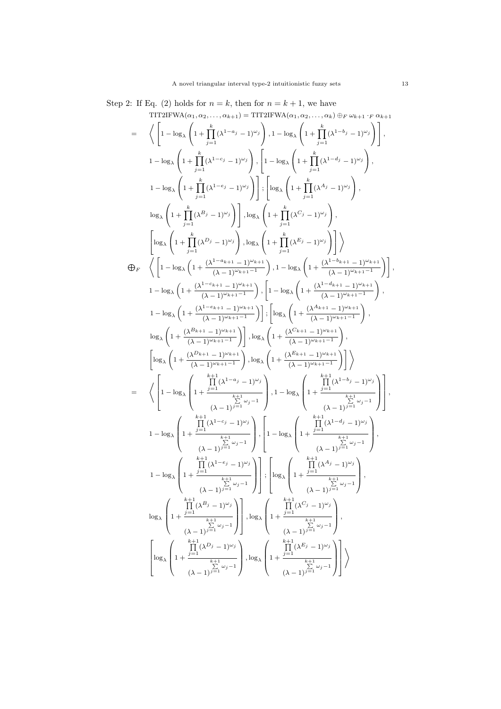Step 2: If Eq. (2) holds for  $n = k$ , then for  $n = k + 1$ , we have

$$
\begin{split} &\text{TTIT2IFWA}(\alpha_{1},\alpha_{2},\ldots,\alpha_{k+1}) = \text{TIT2IFWA}(\alpha_{1},\alpha_{2},\ldots,\alpha_{k}) \oplus \wp \omega_{k+1} \cdot \wp \alpha_{k+1} \\ =& \left\langle \left[1-\log_{\lambda}\left(1+\prod_{j=1}^{k}(\lambda^{1-\alpha_{j}}-1)^{\omega_{j}}\right),1-\log_{\lambda}\left(1+\prod_{j=1}^{k}(\lambda^{1-\delta_{j}}-1)^{\omega_{j}}\right)\right],\\ &\qquad 1-\log_{\lambda}\left(1+\prod_{j=1}^{k}(\lambda^{1-\alpha_{j}}-1)^{\omega_{j}}\right),\left[1-\log_{\lambda}\left(1+\prod_{j=1}^{k}(\lambda^{4_{j}}-1)^{\omega_{j}}\right)\right],\\ &\qquad 1-\log_{\lambda}\left(1+\prod_{j=1}^{k}(\lambda^{1-\alpha_{j}}-1)^{\omega_{j}}\right)\right],\\ &\log_{\lambda}\left(1+\prod_{j=1}^{k}(\lambda^{\beta_{j}}-1)^{\omega_{j}}\right)\right],\\ &\log_{\lambda}\left(1+\prod_{j=1}^{k}(\lambda^{\beta_{j}}-1)^{\omega_{j}}\right),\\ &\log_{\lambda}\left(1+\prod_{j=1}^{k}(\lambda^{\beta_{j}}-1)^{\omega_{j}}\right),\\ &\qquad \left[\log_{\lambda}\left(1+\prod_{j=1}^{k}(\lambda^{\beta_{j}}-1)^{\omega_{j}}\right),\log_{\lambda}\left(1+\prod_{j=1}^{k}(\lambda^{\beta_{j}}-1)^{\omega_{j}}\right)\right],\\ &\qquad 1-\log_{\lambda}\left(1+\frac{(\lambda^{1-\alpha_{k+1}}-1)^{\omega_{k+1}}}{(\lambda-1)^{\omega_{k+1}-1}}\right),1-\log_{\lambda}\left(1+\frac{(\lambda^{1-\delta_{k+1}}-1)^{\omega_{k+1}}}{(\lambda-1)^{\omega_{k+1}-1}}\right),\\ &\qquad 1-\log_{\lambda}\left(1+\frac{(\lambda^{1-\epsilon_{k+1}}-1)^{\omega_{k+1}}}{(\lambda-1)^{\omega_{k+1}-1}}\right),\left[1-\log_{\lambda}\left(1+\frac{(\lambda^{1-\delta_{k+1}}-1)^{\omega_{k+1}}}{(\lambda-1)^{\omega_{k+1}-1}}\right),\\ &\qquad 1-\log_{\lambda}\left(1+\
$$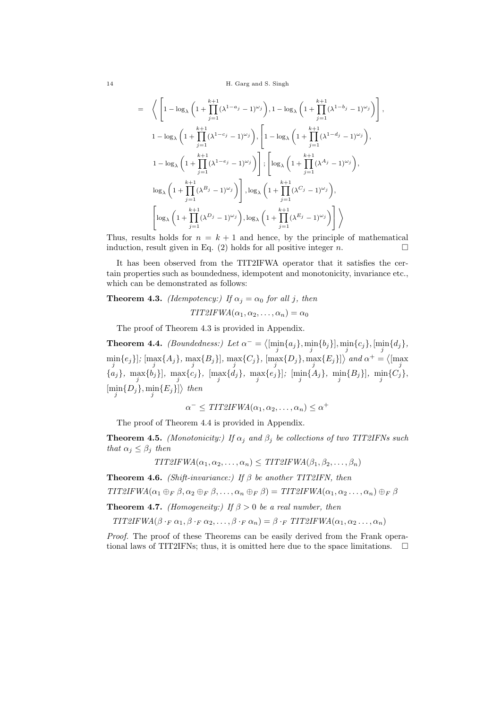14 H. Garg and S. Singh

$$
= \left\langle \left[1 - \log_{\lambda} \left(1 + \prod_{j=1}^{k+1} (\lambda^{1-a_j} - 1)^{\omega_j}\right), 1 - \log_{\lambda} \left(1 + \prod_{j=1}^{k+1} (\lambda^{1-b_j} - 1)^{\omega_j}\right)\right],
$$
  
\n
$$
1 - \log_{\lambda} \left(1 + \prod_{j=1}^{k+1} (\lambda^{1-c_j} - 1)^{\omega_j}\right), \left[1 - \log_{\lambda} \left(1 + \prod_{j=1}^{k+1} (\lambda^{1-d_j} - 1)^{\omega_j}\right),\right]
$$
  
\n
$$
1 - \log_{\lambda} \left(1 + \prod_{j=1}^{k+1} (\lambda^{1-e_j} - 1)^{\omega_j}\right)\right], \left[\log_{\lambda} \left(1 + \prod_{j=1}^{k+1} (\lambda^{A_j} - 1)^{\omega_j}\right),\right]
$$
  
\n
$$
\log_{\lambda} \left(1 + \prod_{j=1}^{k+1} (\lambda^{B_j} - 1)^{\omega_j}\right), \log_{\lambda} \left(1 + \prod_{j=1}^{k+1} (\lambda^{C_j} - 1)^{\omega_j}\right),\right]
$$
  
\n
$$
\left[\log_{\lambda} \left(1 + \prod_{j=1}^{k+1} (\lambda^{D_j} - 1)^{\omega_j}\right), \log_{\lambda} \left(1 + \prod_{j=1}^{k+1} (\lambda^{E_j} - 1)^{\omega_j}\right)\right]\right\rangle
$$

Thus, results holds for  $n = k + 1$  and hence, by the principle of mathematical induction, result given in Eq. (2) holds for all positive integer *n*.

It has been observed from the TIT2IFWA operator that it satisfies the certain properties such as boundedness, idempotent and monotonicity, invariance etc., which can be demonstrated as follows:

**Theorem 4.3.** *(Idempotency:)* If  $\alpha_i = \alpha_0$  for all *j*, then  $TIT2IFWA(\alpha_1, \alpha_2, \ldots, \alpha_n) = \alpha_0$ 

The proof of Theorem 4.3 is provided in Appendix.

**Theorem 4.4.** *(Boundedness:)* Let  $\alpha^{-} = \langle \left[\min_{j} \{a_j\}, \min_{j} \{b_j\}\right], \min_{j} \{c_j\}, \left[\min_{j} \{d_j\},\right]$  $\min_{j} \{e_j\}$ ;  $\{\max_{j} \{A_j\}, \max_{j} \{B_j\}$ ,  $\max_{j} \{C_j\}$ ,  $\{\max_{j} \{D_j\}, \max_{j} \{E_j\}$  and  $\alpha^+ = \langle \{\max_{j}$  $\{a_j\}$ , max $\{b_j\}$ , max $\{c_j\}$ , [max $\{d_j\}$ , max $\{e_j\}$ ]; [min $\{A_j\}$ , min $\{B_j\}$ ], min $\{C_j\}$ ,  $\left\{\min_j \{D_j\}, \min_j \{E_j\}\right\}$  then

$$
\alpha^- \leq TIT2IFWA(\alpha_1, \alpha_2, \dots, \alpha_n) \leq \alpha^+
$$

The proof of Theorem 4.4 is provided in Appendix.

**Theorem 4.5.** *(Monotonicity:)* If  $\alpha_j$  and  $\beta_j$  be collections of two TIT2IFNs such *that*  $\alpha_j \leq \beta_j$  *then* 

 $TIT2IFWA(\alpha_1, \alpha_2, \ldots, \alpha_n) \leq TIT2IFWA(\beta_1, \beta_2, \ldots, \beta_n)$ 

**Theorem 4.6.** *(Shift-invariance:) If β be another TIT2IFN, then*

 $TIT2IFWA(\alpha_1 \oplus_F \beta, \alpha_2 \oplus_F \beta, \ldots, \alpha_n \oplus_F \beta) = TIT2IFWA(\alpha_1, \alpha_2 \ldots, \alpha_n) \oplus_F \beta$ 

**Theorem 4.7.** *(Homogeneity:)* If  $\beta > 0$  *be a real number, then* 

TIT2IFWA $(\beta \cdot_F \alpha_1, \beta \cdot_F \alpha_2, \ldots, \beta \cdot_F \alpha_n) = \beta \cdot_F TIT2IFWA(\alpha_1, \alpha_2, \ldots, \alpha_n)$ 

*Proof.* The proof of these Theorems can be easily derived from the Frank operational laws of TIT2IFNs; thus, it is omitted here due to the space limitations.  $\Box$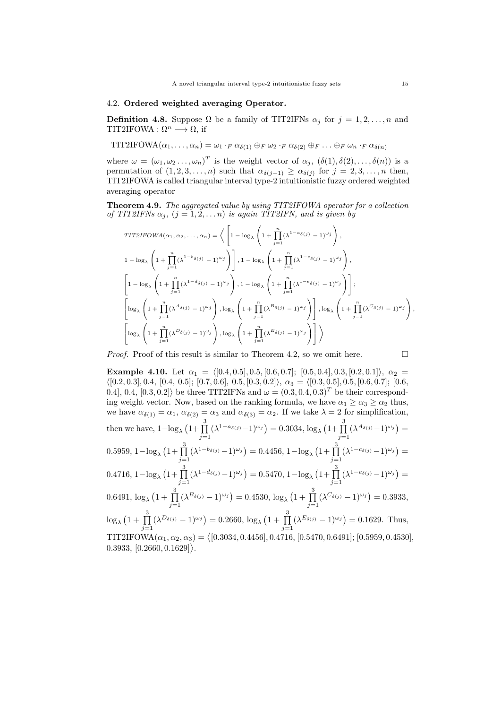#### 4.2. **Ordered weighted averaging Operator.**

**Definition 4.8.** Suppose  $\Omega$  be a family of TIT2IFNs  $\alpha_j$  for  $j = 1, 2, \ldots, n$  and TIT2IFOWA : Ω*<sup>n</sup> −→* Ω, if

TIT2IFOWA $(\alpha_1, \ldots, \alpha_n) = \omega_1 \cdot_F \alpha_{\delta(1)} \oplus_F \omega_2 \cdot_F \alpha_{\delta(2)} \oplus_F \ldots \oplus_F \omega_n \cdot_F \alpha_{\delta(n)}$ 

where  $\omega = (\omega_1, \omega_2, \dots, \omega_n)^T$  is the weight vector of  $\alpha_j$ ,  $(\delta(1), \delta(2), \dots, \delta(n))$  is a permutation of  $(1, 2, 3, \ldots, n)$  such that  $\alpha_{\delta(j-1)} \geq \alpha_{\delta(j)}$  for  $j = 2, 3, \ldots, n$  then, TIT2IFOWA is called triangular interval type-2 intuitionistic fuzzy ordered weighted averaging operator

**Theorem 4.9.** *The aggregated value by using TIT2IFOWA operator for a collection of TIT2IFNs*  $\alpha_j$ ,  $(j = 1, 2, \ldots n)$  *is again TIT2IFN, and is given by* 

$$
TIT2IFOWA(\alpha_1, \alpha_2, ..., \alpha_n) = \left\langle \left[ 1 - \log_{\lambda} \left( 1 + \prod_{j=1}^n (\lambda^{1 - a_{\delta(j)}} - 1)^{\omega_j} \right) \right],
$$
  
\n
$$
1 - \log_{\lambda} \left( 1 + \prod_{j=1}^n (\lambda^{1 - b_{\delta(j)}} - 1)^{\omega_j} \right) \right], 1 - \log_{\lambda} \left( 1 + \prod_{j=1}^n (\lambda^{1 - c_{\delta(j)}} - 1)^{\omega_j} \right),
$$
  
\n
$$
\left[ 1 - \log_{\lambda} \left( 1 + \prod_{j=1}^n (\lambda^{1 - d_{\delta(j)}} - 1)^{\omega_j} \right), 1 - \log_{\lambda} \left( 1 + \prod_{j=1}^n (\lambda^{1 - e_{\delta(j)}} - 1)^{\omega_j} \right) \right];
$$
  
\n
$$
\left[ \log_{\lambda} \left( 1 + \prod_{j=1}^n (\lambda^{A_{\delta(j)}} - 1)^{\omega_j} \right), \log_{\lambda} \left( 1 + \prod_{j=1}^n (\lambda^{B_{\delta(j)}} - 1)^{\omega_j} \right) \right], \log_{\lambda} \left( 1 + \prod_{j=1}^n (\lambda^{C_{\delta(j)}} - 1)^{\omega_j} \right) \right\}
$$
  
\n
$$
\left[ \log_{\lambda} \left( 1 + \prod_{j=1}^n (\lambda^{D_{\delta(j)}} - 1)^{\omega_j} \right), \log_{\lambda} \left( 1 + \prod_{j=1}^n (\lambda^{E_{\delta(j)}} - 1)^{\omega_j} \right) \right] \right\rangle
$$

*Proof.* Proof of this result is similar to Theorem 4.2, so we omit here.

$$
\Box
$$

**Example 4.10.** Let  $\alpha_1 = \langle [0.4, 0.5], 0.5, [0.6, 0.7]; [0.5, 0.4], 0.3, [0.2, 0.1] \rangle$ ,  $\alpha_2 =$  $\langle [0.2, 0.3], 0.4, [0.4, 0.5]; [0.7, 0.6], 0.5, [0.3, 0.2] \rangle, \alpha_3 = \langle [0.3, 0.5], 0.5, [0.6, 0.7]; [0.6, 0.7] \rangle$ 0.4], 0.4,  $[0.3, 0.2]$ *\* be three TIT2IFNs and  $\omega = (0.3, 0.4, 0.3)^T$  be their corresponding weight vector. Now, based on the ranking formula, we have  $\alpha_1 \geq \alpha_3 \geq \alpha_2$  thus, we have  $\alpha_{\delta(1)} = \alpha_1$ ,  $\alpha_{\delta(2)} = \alpha_3$  and  $\alpha_{\delta(3)} = \alpha_2$ . If we take  $\lambda = 2$  for simplification, then we have,  $1-\log_\lambda(1+\prod_{i=1}^3$ *j*=1  $(\lambda^{1-a_{\delta(j)}}-1)^{\omega_j}$  = 0.3034, log<sub>λ</sub>  $(1+\prod_{j=1}^{3}$ *j*=1  $(\lambda^{A_{\delta(j)}}-1)^{\omega_j}$  =  $0.5959, 1-\log_\lambda \left(1+\prod_{i=1}^3\right)$ *j*=1  $(\lambda^{1-b_{\delta(j)}}-1)^{\omega_j}$ ) = 0.4456, 1-log<sub>λ</sub>  $(1+\prod_{i=1}^{3}$ *j*=1  $(\lambda^{1-c_{\delta(j)}} - 1)^{\omega_j}$  =  $0.4716, 1-\log_\lambda\left(1+\prod_{i=1}^3\right)$ *j*=1  $(\lambda^{1-d_{\delta(j)}}-1)^{\omega_j}$ ) = 0.5470, 1-log<sub>λ</sub>  $(1+\prod_{i=1}^{3}$ *j*=1  $(\lambda^{1-e_{\delta(j)}}-1)^{\omega_j}$  =  $0.6491, \, \log_\lambda \big(1 + \, \prod^3$ *j*=1  $(\lambda^{B_{\delta(j)}} - 1)^{\omega_j}$  = 0.4530,  $\log_{\lambda} (1 + \prod_{j=1}^{3})$ *j*=1  $(\lambda^{C_{\delta(j)}} - 1)^{\omega_j}$  = 0.3933,  $\log_{\lambda} (1 + \prod_{j=1}$ 3 3  $(\lambda^{D_{\delta(j)}} - 1)^{\omega_j}$  = 0.2660,  $\log_{\lambda} (1 + \prod_{j=1}^{\infty}$  $(\lambda^{E_{\delta(j)}} - 1)^{\omega_j}$  = 0.1629. Thus,  $\text{TIT2IFOWA}(\alpha_1, \alpha_2, \alpha_3) = \big\langle [0.3034, 0.4456], 0.4716, [0.5470, 0.6491]; [0.5959, 0.4530],$  $(0.3933, [0.2660, 0.1629])$ .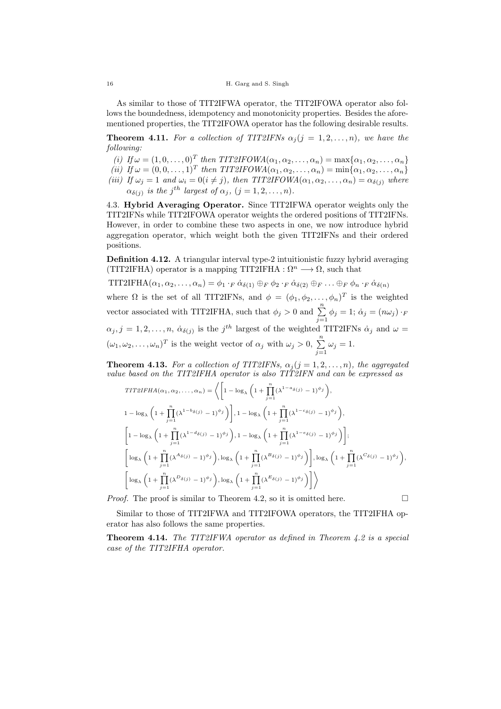As similar to those of TIT2IFWA operator, the TIT2IFOWA operator also follows the boundedness, idempotency and monotonicity properties. Besides the aforementioned properties, the TIT2IFOWA operator has the following desirable results.

**Theorem 4.11.** *For a collection of TIT2IFNs*  $\alpha_j$  (*j* = 1, 2, ..., *n*)*, we have the following:*

 $(i)$  *If*  $\omega = (1, 0, \ldots, 0)^T$  *then TIT2IFOWA* $(\alpha_1, \alpha_2, \ldots, \alpha_n) = \max{\{\alpha_1, \alpha_2, \ldots, \alpha_n\}}$  $(iii)$  *If*  $\omega = (0, 0, \dots, 1)^T$  *then TIT2IFOWA* $(\alpha_1, \alpha_2, \dots, \alpha_n) = \min{\{\alpha_1, \alpha_2, \dots, \alpha_n\}}$ *(iii) If*  $\omega_j = 1$  *and*  $\omega_i = 0$  (*i*  $\neq j$ )*, then TIT2IFOWA*( $\alpha_1, \alpha_2, \ldots, \alpha_n$ ) =  $\alpha_{\delta(j)}$  *where*  $\alpha_{\delta(j)}$  *is the j*<sup>th</sup> *largest of*  $\alpha_j$ ,  $(j = 1, 2, \ldots, n)$ *.* 

4.3. **Hybrid Averaging Operator.** Since TIT2IFWA operator weights only the TIT2IFNs while TIT2IFOWA operator weights the ordered positions of TIT2IFNs. However, in order to combine these two aspects in one, we now introduce hybrid aggregation operator, which weight both the given TIT2IFNs and their ordered positions.

**Definition 4.12.** A triangular interval type-2 intuitionistic fuzzy hybrid averaging (TIT2IFHA) operator is a mapping TIT2IFHA :  $\Omega^n \longrightarrow \Omega$ , such that

TIT2IFHA $(\alpha_1, \alpha_2, \ldots, \alpha_n) = \phi_1 \cdot_F \dot{\alpha}_{\delta(1)} \oplus_F \phi_2 \cdot_F \dot{\alpha}_{\delta(2)} \oplus_F \ldots \oplus_F \phi_n \cdot_F \dot{\alpha}_{\delta(n)}$ where  $\Omega$  is the set of all TIT2IFNs, and  $\phi = (\phi_1, \phi_2, \dots, \phi_n)^T$  is the weighted vector associated with TIT2IFHA, such that  $\phi_j > 0$  and  $\sum_{j=1}^n \phi_j = 1$ ;  $\dot{\alpha}_j = (n\omega_j) \cdot F$  $\alpha_j$ , *j* = 1, 2, ..., *n*,  $\dot{\alpha}_{\delta(j)}$  is the *j*<sup>th</sup> largest of the weighted TIT2IFNs  $\dot{\alpha}_j$  and  $\omega$  $(\omega_1, \omega_2, \dots, \omega_n)^T$  is the weight vector of  $\alpha_j$  with  $\omega_j > 0$ ,  $\sum_{j=1}^n \omega_j = 1$ .

**Theorem 4.13.** *For a collection of TIT2IFNs,*  $\alpha_i$  ( $j = 1, 2, ..., n$ )*, the aggregated value based on the TIT2IFHA operator is also TIT2IFN and can be expressed as*

$$
TIT2IFHA(\alpha_1, \alpha_2, ..., \alpha_n) = \left\langle \left[ 1 - \log_{\lambda} \left( 1 + \prod_{j=1}^n (\lambda^{1-a_{\delta(j)}} - 1)^{\phi_j} \right) \right],
$$
  
\n
$$
1 - \log_{\lambda} \left( 1 + \prod_{j=1}^n (\lambda^{1-b_{\delta(j)}} - 1)^{\phi_j} \right) \right], 1 - \log_{\lambda} \left( 1 + \prod_{j=1}^n (\lambda^{1-c_{\delta(j)}} - 1)^{\phi_j} \right),
$$
  
\n
$$
\left[ 1 - \log_{\lambda} \left( 1 + \prod_{j=1}^n (\lambda^{1-d_{\delta(j)}} - 1)^{\phi_j} \right), 1 - \log_{\lambda} \left( 1 + \prod_{j=1}^n (\lambda^{1-e_{\delta(j)}} - 1)^{\phi_j} \right) \right];
$$
  
\n
$$
\left[ \log_{\lambda} \left( 1 + \prod_{j=1}^n (\lambda^{A_{\delta(j)}} - 1)^{\phi_j} \right), \log_{\lambda} \left( 1 + \prod_{j=1}^n (\lambda^{B_{\delta(j)}} - 1)^{\phi_j} \right) \right], \log_{\lambda} \left( 1 + \prod_{j=1}^n (\lambda^{C_{\delta(j)}} - 1)^{\phi_j} \right),
$$
  
\n
$$
\left[ \log_{\lambda} \left( 1 + \prod_{j=1}^n (\lambda^{B_{\delta(j)}} - 1)^{\phi_j} \right), \log_{\lambda} \left( 1 + \prod_{j=1}^n (\lambda^{E_{\delta(j)}} - 1)^{\phi_j} \right) \right] \right\rangle
$$

*Proof.* The proof is similar to Theorem 4.2, so it is omitted here.  $\Box$ 

Similar to those of TIT2IFWA and TIT2IFOWA operators, the TIT2IFHA operator has also follows the same properties.

**Theorem 4.14.** *The TIT2IFWA operator as defined in Theorem 4.2 is a special case of the TIT2IFHA operator.*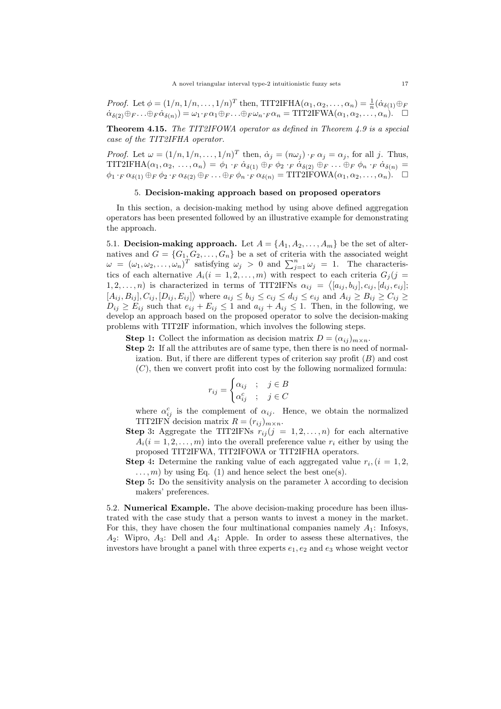*Proof.* Let  $\phi = (1/n, 1/n, \ldots, 1/n)^T$  then, TIT2IFHA $(\alpha_1, \alpha_2, \ldots, \alpha_n) = \frac{1}{n} (\dot{\alpha}_{\delta(1)} \oplus F)$  $\dot{\alpha}_{\delta(2)}\oplus_{F}\ldots\oplus_{F}\dot{\alpha}_{\delta(n)} = \omega_1 \cdot_F \alpha_1 \oplus_{F}\ldots\oplus_{F}\omega_n \cdot_F \alpha_n = \text{TIT2IFWA}(\alpha_1, \alpha_2, \ldots, \alpha_n).$ 

**Theorem 4.15.** *The TIT2IFOWA operator as defined in Theorem 4.9 is a special case of the TIT2IFHA operator.*

*Proof.* Let  $\omega = (1/n, 1/n, \ldots, 1/n)^T$  then,  $\dot{\alpha}_j = (n\omega_j) \cdot_F \alpha_j = \alpha_j$ , for all *j*. Thus, TIT2IFHA $(\alpha_1, \alpha_2, \ldots, \alpha_n) = \phi_1 \cdot_F \alpha_{\delta(1)} \oplus_F \phi_2 \cdot_F \alpha_{\delta(2)} \oplus_F \ldots \oplus_F \phi_n \cdot_F \alpha_{\delta(n)} =$  $\phi_1 \cdot_F \alpha_{\delta(1)} \oplus_F \phi_2 \cdot_F \alpha_{\delta(2)} \oplus_F \ldots \oplus_F \phi_n \cdot_F \alpha_{\delta(n)} = \text{TIT2IFOWA}(\alpha_1, \alpha_2, \ldots, \alpha_n).$ 

## 5. **Decision-making approach based on proposed operators**

In this section, a decision-making method by using above defined aggregation operators has been presented followed by an illustrative example for demonstrating the approach.

5.1. **Decision-making approach.** Let  $A = \{A_1, A_2, \ldots, A_m\}$  be the set of alternatives and  $G = \{G_1, G_2, \ldots, G_n\}$  be a set of criteria with the associated weight  $\omega = (\omega_1, \omega_2, \dots, \omega_n)^T$  satisfying  $\omega_j > 0$  and  $\sum_{j=1}^n \omega_j = 1$ . The characteristics of each alternative  $A_i(i = 1, 2, ..., m)$  with respect to each criteria  $G_j(j =$ 1, 2, ..., *n*) is characterized in terms of TIT2IFNs  $\alpha_{ij} = \langle [a_{ij}, b_{ij}], c_{ij}, [d_{ij}, e_{ij}]$ ;  $[A_{ij}, B_{ij}], C_{ij}, [D_{ij}, E_{ij}]$  where  $a_{ij} \leq b_{ij} \leq c_{ij} \leq d_{ij} \leq e_{ij}$  and  $A_{ij} \geq B_{ij} \geq C_{ij} \geq$  $D_{ij} \ge E_{ij}$  such that  $e_{ij} + E_{ij} \le 1$  and  $a_{ij} + A_{ij} \le 1$ . Then, in the following, we develop an approach based on the proposed operator to solve the decision-making problems with TIT2IF information, which involves the following steps.

**Step** 1: Collect the information as decision matrix  $D = (a_{ij})_{m \times n}$ .

**Step 2:** If all the attributes are of same type, then there is no need of normalization. But, if there are different types of criterion say profit (*B*) and cost (*C*), then we convert profit into cost by the following normalized formula:

$$
r_{ij} = \begin{cases} \alpha_{ij} & ; & j \in B \\ \alpha_{ij}^c & ; & j \in C \end{cases}
$$

where  $\alpha_{ij}^c$  is the complement of  $\alpha_{ij}$ . Hence, we obtain the normalized TIT2IFN decision matrix  $R = (r_{ij})_{m \times n}$ .

- **Step 3:** Aggregate the TIT2IFNs  $r_{ij}$  ( $j = 1, 2, ..., n$ ) for each alternative  $A_i(i = 1, 2, \ldots, m)$  into the overall preference value  $r_i$  either by using the proposed TIT2IFWA, TIT2IFOWA or TIT2IFHA operators.
- **Step 4:** Determine the ranking value of each aggregated value  $r_i$ ,  $(i = 1, 2, ...)$  $\dots, m$  by using Eq. (1) and hence select the best one(s).
- **Step** 5: Do the sensitivity analysis on the parameter  $\lambda$  according to decision makers' preferences.

5.2. **Numerical Example.** The above decision-making procedure has been illustrated with the case study that a person wants to invest a money in the market. For this, they have chosen the four multinational companies namely *A*1: Infosys, *A*2: Wipro, *A*3: Dell and *A*4: Apple. In order to assess these alternatives, the investors have brought a panel with three experts  $e_1, e_2$  and  $e_3$  whose weight vector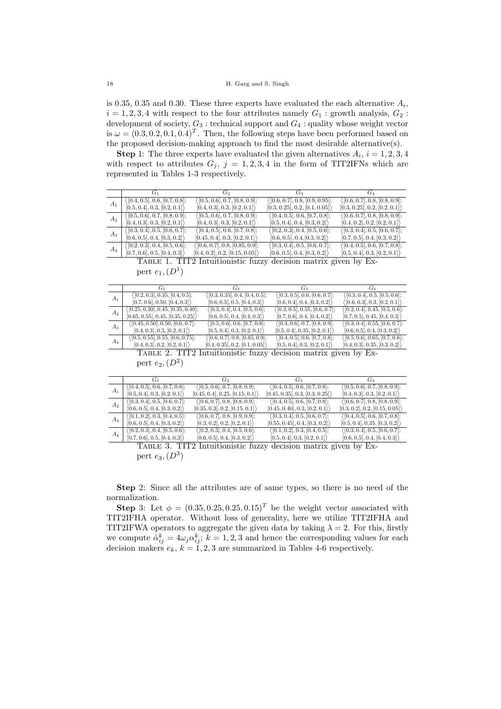is 0.35, 0.35 and 0.30. These three experts have evaluated the each alternative  $A_i$ ,  $i = 1, 2, 3, 4$  with respect to the four attributes namely  $G_1$ : growth analysis,  $G_2$ : development of society, *G*<sup>3</sup> : technical support and *G*<sup>4</sup> : quality whose weight vector is  $\omega = (0.3, 0.2, 0.1, 0.4)^T$ . Then, the following steps have been performed based on the proposed decision-making approach to find the most desirable alternative(s).

**Step** 1: The three experts have evaluated the given alternatives  $A_i$ ,  $i = 1, 2, 3, 4$ with respect to attributes  $G_j$ ,  $j = 1, 2, 3, 4$  in the form of TIT2IFNs which are represented in Tables 1-3 respectively.

|       | G1                                             | Go                                             | $G_3$                                           | G <sub>4</sub>                         |
|-------|------------------------------------------------|------------------------------------------------|-------------------------------------------------|----------------------------------------|
|       | $\langle [0.4, 0.5], 0.6, [0.7, 0.8];$         | ([0.5, 0.6], 0.7, [0.8, 0.9];                  | $\langle [0.6, 0.7], 0.8, [0.9, 0.95]; \rangle$ | $\langle [0.6, 0.7], 0.8, [0.8, 0.9];$ |
| $A_1$ | [0.5, 0.4], 0.3, [0.2, 0.1]                    | [0.4, 0.3], 0.3, [0.2, 0.1]                    | [0.3, 0.25], 0.2, [0.1, 0.05]                   | [0.3, 0.25], 0.2, [0.2, 0.1]           |
|       | $\langle [0.5, 0.6], 0.7, [0.8, 0.9];$         | $\langle [0.5, 0.6], 0.7, [0.8, 0.9]; \rangle$ | $\langle [0.4, 0.5], 0.6, [0.7, 0.8];$          | $\langle$ [0.6, 0.7], 0.8, [0.8, 0.9]; |
| $A_2$ | [0.4, 0.3], 0.3, [0.2, 0.1]                    | [0.4, 0.3], 0.3, [0.2, 0.1]                    | [0.5, 0.4], 0.4, [0.3, 0.2]                     | [0.4, 0.2], 0.2, [0.2, 0.1]            |
|       | $\langle [0.3, 0.4], 0.5, [0.6, 0.7];$         | ([0.4, 0.5], 0.6, [0.7, 0.8];                  | $\langle [0.2, 0.3], 0.4, [0.5, 0.6]; \rangle$  | $\langle [0.3, 0.4], 0.5, [0.6, 0.7];$ |
| $A_3$ | [0.6, 0.5], 0.4, [0.3, 0.2]                    | [0.45, 0.4], 0.3, [0.2, 0.1]                   | [0.6, 0.5], 0.4, [0.3, 0.2]                     | [0.7, 0.5], 0.4, [0.3, 0.2]            |
|       | $\langle [0.2, 0.3], 0.4, [0.5, 0.6]; \rangle$ | (0.6, 0.7, 0.8, 0.85, 0.9);                    | $\langle [0.3, 0.4], 0.5, [0.6, 0.7];$          | $\langle [0.4, 0.5], 0.6, [0.7, 0.8];$ |
| $A_4$ | [0.7, 0.6], 0.5, [0.4, 0.3]                    | [0.4, 0.2], 0.2, [0.15, 0.05]                  | [0.6, 0.5], 0.4, [0.3, 0.2]                     | [0.5, 0.4], 0.3, [0.2, 0.1]            |

Table 1. TIT2 Intuitionistic fuzzy decision matrix given by Expert  $e_1,(D^1)$ 

|       |                                                   | Go                                              | G2                                                | Gл                                              |
|-------|---------------------------------------------------|-------------------------------------------------|---------------------------------------------------|-------------------------------------------------|
| $A_1$ | $\langle [0.2, 0.3], 0.35, [0.4, 0.5]; \rangle$   | $\langle [0.3, 0.35], 0.4, [0.4, 0.5]; \rangle$ | $\langle [0.3, 0.5], 0.\overline{6, [0.6, 0.7]};$ | $\langle [0.3, 0.4], 0.5, [0.5, 0.6];$          |
|       | [0.7, 0.6], 0.50, [0.4, 0.3]                      | [0.6, 0.5], 0.5, [0.4, 0.3]                     | [0.6, 0.4], 0.4, [0.3, 0.2]                       | $\langle [0.6, 0.3], 0.3, [0.2, 0.1] \rangle$   |
| $A_2$ | ([0.25, 0.30], 0.45, [0.35, 0.40];                | $\langle [0.3, 0.4], 0.4, [0.5, 0.6];$          | $\langle [0.3, 0.5], 0.55, [0.6, 0.7]; \rangle$   | $\langle [0.2, 0.4], 0.45, [0.5, 0.6]; \rangle$ |
|       | [0.65, 0.55], 0.45, [0.35, 0.25]                  | [0.6, 0.5], 0.4, [0.4, 0.3]                     | [0.7, 0.6], 0.4, [0.4, 0.2]                       | [0.7, 0.5], 0.45, [0.4, 0.3]                    |
| $A_3$ | $\langle [0.45, 0.50], 0.50, [0.6, 0.7]; \rangle$ | $\langle [0.5, 0.6], 0.6, [0.7, 0.8];$          | $\langle [0.4, 0.6], 0.7, [0.8, 0.9];$            | $\langle [0.3, 0.4], 0.55, [0.6, 0.7]; \rangle$ |
|       | [0.4, 0.3], 0.3, [0.2, 0.1]                       | [0.5, 0.4], 0.3, [0.2, 0.1]                     | [0.5, 0.4], 0.35, [0.2, 0.1]                      | [0.6, 0.5], 0.4, [0.3, 0.2]                     |
| $A_4$ | $\langle [0.5, 0.55], 0.55, [0.6, 0.75]; \rangle$ | (0.6, 0.7, 0.8, 0.85, 0.9);                     | $\langle [0.4, 0.5], 0.6, [0.7, 0.8];$            | $\langle [0.5, 0.6], 0.65, [0.7, 0.8];$         |
|       | [0.4, 0.3], 0.2, [0.2, 0.1]                       | [0.4, 0.35], 0.2, [0.1, 0.05]                   | [0.5, 0.4], 0.3, [0.2, 0.1]                       | [0.4, 0.3], 0.35, [0.3, 0.2]                    |
|       | $\mathbb{R}$ $\sim$ $\mathbb{R}$ $\mathbb{R}$     |                                                 |                                                   |                                                 |

Table 2. TIT2 Intuitionistic fuzzy decision matrix given by Expert  $e_2$ ,  $(D^2)$ 

|       | $G_1$                                  | $G_2$                                          | $G_3$                                  | $G_4$                                          |
|-------|----------------------------------------|------------------------------------------------|----------------------------------------|------------------------------------------------|
|       | $\langle [0.4, 0.5], 0.6, [0.7, 0.8];$ | $\langle [0.5, 0.6], 0.7, [0.8, 0.9]; \rangle$ | $\langle [0.4, 0.5], 0.6, [0.7, 0.8];$ | $\langle [0.5, 0.6], 0.7, [0.8, 0.9];$         |
| $A_1$ | [0.5, 0.4], 0.3, [0.2, 0.1]            | [0.45, 0.4], 0.25, [0.15, 0.1]                 | [0.45, 0.35], 0.3, [0.3, 0.25]         | [0.4, 0.3], 0.3, [0.2, 0.1]                    |
|       | $\langle [0.3, 0.4], 0.5, [0.6, 0.7];$ | $\langle [0.6, 0.7], 0.8, [0.8, 0.9]; \rangle$ | $\langle$ [0.4, 0.5], 0.6, [0.7, 0.8]; | $\langle [0.6, 0.7], 0.8, [0.8, 0.9]; \rangle$ |
| $A_2$ | [0.6, 0.5], 0.4, [0.3, 0.2]            | [0.35, 0.3], 0.2, [0.15, 0.1]                  | [0.45, 0.40], 0.3, [0.2, 0.1]          | [0.3, 0.2], 0.2, [0.15, 0.05]                  |
|       | $\langle [0.1, 0.2], 0.3, [0.4, 0.5];$ | $\langle [0.6, 0.7], 0.8, [0.9, 0.9];$         | $\langle$ [0.3, 0.4], 0.5, [0.6, 0.7]; | $\langle [0.4, 0.5], 0.6, [0.7, 0.8];$         |
| $A_3$ | [0.6, 0.5], 0.4, [0.3, 0.2]            | [0.3, 0.2], 0.2, [0.2, 0.1]                    | [0.55, 0.45], 0.4, [0.3, 0.2]          | [0.5, 0.4], 0.35, [0.3, 0.2]                   |
|       | ([0.2, 0.3], 0.4, [0.5, 0.6];          | $\langle [0.2, 0.3], 0.4, [0.5, 0.6]; \rangle$ | $\langle [0.1, 0.2], 0.3, [0.4, 0.5];$ | $\langle [0.3, 0.4], 0.5, [0.6, 0.7];$         |
| $A_4$ | [0.7, 0.6], 0.5, [0.4, 0.3]            | [0.6, 0.5], 0.4, [0.3, 0.2]                    | [0.5, 0.4], 0.3, [0.2, 0.1]            | [0.6, 0.5], 0.4, [0.4, 0.3]                    |

Table 3. TIT2 Intuitionistic fuzzy decision matrix given by Expert *e*3*,*(*D*<sup>3</sup> )

**Step** 2: Since all the attributes are of same types, so there is no need of the normalization.

**Step** 3: Let  $\phi = (0.35, 0.25, 0.25, 0.15)^T$  be the weight vector associated with TIT2IFHA operator. Without loss of generality, here we utilize TIT2IFHA and TIT2IFWA operators to aggregate the given data by taking  $\lambda = 2$ . For this, firstly we compute  $\dot{\alpha}_{ij}^k = 4\omega_j \alpha_{ij}^k$ ;  $k = 1, 2, 3$  and hence the corresponding values for each decision makers  $e_k$ ,  $k = 1, 2, 3$  are summarized in Tables 4-6 respectively.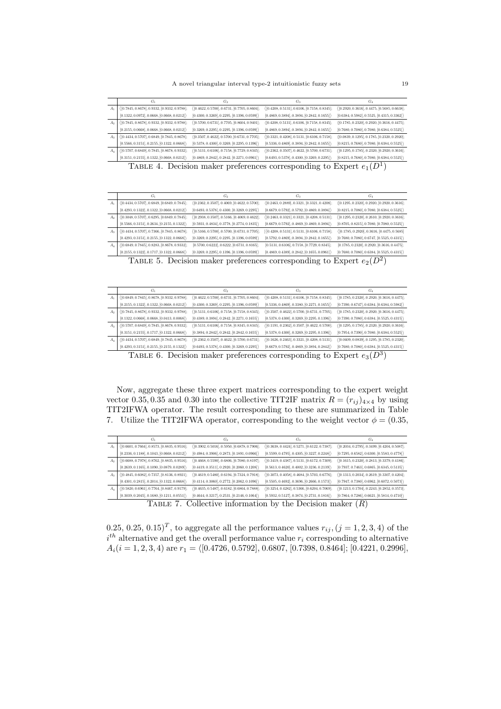A novel triangular interval type-2 intuitionistic fuzzy sets 19

|                | $G_1$                                                                  | $G_2$                                                 | $G_3$                                                 | $G_4$                                                   |  |
|----------------|------------------------------------------------------------------------|-------------------------------------------------------|-------------------------------------------------------|---------------------------------------------------------|--|
| $A_1$          | $\langle [0.7845, 0.8678], 0.9332, [0.9332, 0.9788];$                  | $( [0.4622, 0.5700], 0.6731, [0.7705, 0.8604];$       | $\langle [0.4208, 0.5131], 0.6106, [0.7158, 0.8345];$ | $( [0.2920, 0.3616], 0.4475, [0.5685, 0.6638];$         |  |
|                | $[0.1322, 0.0972], 0.0668, [0.0668, 0.0212] \rangle$                   | $[0.4300, 0.3269], 0.2295, [0.1396, 0.0599]$          | $[0.4869, 0.3894], 0.3894, [0.2842, 0.1655]$          | $[0.6384, 0.5982], 0.5525, [0.4315, 0.3362]\big\rangle$ |  |
| A <sub>2</sub> | $\langle [0.7845, 0.8678], 0.9332, [0.9332, 0.9788];$                  | $\langle [0.5700, 0.6731], 0.7705, [0.8604, 0.9401];$ | $\langle [0.4208, 0.5131], 0.6106, [0.7158, 0.8345];$ | $\langle [0.1785, 0.2320], 0.2920, [0.3616, 0.4475];$   |  |
|                | $[0.2155, 0.0668], 0.0668, [0.0668, 0.0212] \rangle$                   | $[0.3269, 0.2295], 0.2295, [0.1396, 0.0599]$          | $[0.4869, 0.3894], 0.3894, [0.2842, 0.1655]$          | $[0.7680, 0.7080], 0.7080, [0.6384, 0.5525]$            |  |
| $A_3$          | $\langle [0.4434, 0.5707], 0.6849, [0.7845, 0.8678];$                  | $\langle [0.3507, 0.4622], 0.5700, [0.6731, 0.7705];$ | $\langle [0.3321, 0.4208], 0.5131, [0.6106, 0.7158];$ | $\langle [0.0839, 0.1295], 0.1785, [0.2320, 0.2920];$   |  |
|                | $[0.5566, 0.3151], 0.2155, [0.1322, 0.0668]\big\rangle$                | $[0.5378, 0.4300], 0.3269, [0.2295, 0.1396]$          | $[0.5336, 0.4869], 0.3894, [0.2842, 0.1655]$          | $[0.8215, 0.7680], 0.7080, [0.6384, 0.5525]$            |  |
| $A_4$          | $\langle [0.5707, 0.6849], 0.7845, [0.8678, 0.9332];$                  | $( [0.5131, 0.6106], 0.7158, [0.7729, 0.8345];$       | $( [0.2362, 0.3507], 0.4622, [0.5700, 0.6731];$       | $\langle [0.1295, 0.1785], 0.2320, [0.2920, 0.3616];$   |  |
|                | $[0.3151, 0.2155], 0.1322, [0.0668, 0.0212] \rangle$                   | $[0.4869, 0.2842], 0.2842, [0.2271, 0.0961]$          | $[0.6493, 0.5378], 0.4300, [0.3269, 0.2295]$          | $[0.8215, 0.7680], 0.7080, [0.6384, 0.5525] \rangle$    |  |
|                | TABLE 4. Decision maker preferences corresponding to Expert $e_1(D^1)$ |                                                       |                                                       |                                                         |  |

|       | $G_1$                                                                                                 | $G_2$                                                 | $G_3$                                                   | $G_4$                                                 |  |  |
|-------|-------------------------------------------------------------------------------------------------------|-------------------------------------------------------|---------------------------------------------------------|-------------------------------------------------------|--|--|
|       |                                                                                                       |                                                       |                                                         |                                                       |  |  |
| $A_1$ | $\langle [0.4434, 0.5707], 0.6849, [0.6849, 0.7845];$                                                 | $\langle [0.2362, 0.3507], 0.4069, [0.4622, 0.5700];$ | $\langle [0.2463, 0.2889], 0.3321, [0.3321, 0.4208];$   | $\langle [0.1295, 0.2320], 0.2920, [0.2920, 0.3616];$ |  |  |
|       | $[0.4293, 0.1322], 0.1322, [0.0668, 0.0212]$                                                          | $[0.6493, 0.5378], 0.4300, [0.3269, 0.2295]$          | $[0.6679, 0.5792], 0.5792, [0.4869, 0.3894]$            | $[0.8215, 0.7080], 0.7080, [0.6384, 0.5525]$          |  |  |
| $A_2$ | $\langle [0.3048, 0.5707], 0.6295, [0.6849, 0.7845];$                                                 | $\langle [0.2938, 0.3507], 0.5166, [0.4069, 0.4622];$ | $\langle [0.2463, 0.3321], 0.3321, [0.4208, 0.5131];$   | $\langle [0.1295, 0.2320], 0.2610, [0.2920, 0.3616];$ |  |  |
|       | $[0.5566, 0.3151], 0.2634, [0.2155, 0.1322]$                                                          | $[0.5931, 0.4834], 0.3778, [0.2774, 0.1835]$          | $[0.6679, 0.5792], 0.4869, [0.4869, 0.3894]$            | $[0.8705, 0.8215], 0.7080, [0.7080, 0.5525]$          |  |  |
| $A_3$ | $\langle [0.4434, 0.5707], 0.7366, [0.7845, 0.8678];$                                                 | $([0.5166, 0.5700], 0.5700, [0.6731, 0.7705];$        | $[ \langle 0.4208, 0.5131], 0.5131, [ 0.6106, 0.7158];$ | $\langle [0.1785, 0.2920], 0.3616, [0.4475, 0.5685]$  |  |  |
|       | $[0.4293, 0.3151], 0.2155, [0.1322, 0.0668]$                                                          | $[0.3269, 0.2295], 0.2295, [0.1396, 0.0599]$          | $[0.5792, 0.4869], 0.3894, [0.2842, 0.1655]$            | $[0.7680, 0.7080], 0.6747, [0.5525, 0.4315]$          |  |  |
| $A_4$ | $\langle [0.6849, 0.7845], 0.8283, [0.8678, 0.9332];$                                                 | $[0.5700, 0.6222], 0.6222, [0.6731, 0.8165];$         | $[0.5131, 0.6106], 0.7158, [0.7729, 0.8345];$           | $[0.1785, 0.2320], 0.2920, [0.3616, 0.4475];$         |  |  |
|       | $[0.2155, 0.1322], 0.1717, [0.1322, 0.0668]$                                                          | $[0.3269, 0.2295], 0.1396, [0.1396, 0.0599]$          | $[0.4869, 0.4389], 0.2842, [0.1655, 0.0961]$            | $[0.7680, 0.7080], 0.6384, [0.5525, 0.4315]$          |  |  |
|       | $T_{\text{ADID}}$ $\epsilon$ Desigion molecular professor corresponding to Expert $\epsilon$ ( $D2$ ) |                                                       |                                                         |                                                       |  |  |

TABLE 5. Decision maker preferences corresponding to Expert  $e_2(D^2)$ 

|       | $G_1$                                                 | $G_2$                                                   | $G_3$                                                 | $G_4$                                                 |
|-------|-------------------------------------------------------|---------------------------------------------------------|-------------------------------------------------------|-------------------------------------------------------|
| $A_1$ | $\langle [0.6849, 0.7845], 0.8678, [0.9332, 0.9788];$ | $([0.4622, 0.5700], 0.6731, [0.7705, 0.8604];$          | $\langle [0.4208, 0.5131], 0.6106, [0.7158, 0.8345];$ | $([0.1785, 0.2320], 0.2920, [0.3616, 0.4475];$        |
|       | $[0.2155, 0.1322], 0.1322, [0.0668, 0.0212]$          | $[0.4300, 0.3269], 0.2295, [0.1396, 0.0599]\big\rangle$ | $[0.5336, 0.4869], 0.3380, [0.2271, 0.1655]$          | $[0.7390, 0.6747], 0.6384, [0.6384, 0.5982]$          |
| $A_2$ | $\langle [0.7845, 0.8678], 0.9332, [0.9332, 0.9788];$ | $\langle [0.5131, 0.6106], 0.7158, [0.7158, 0.8345];$   | $\langle [0.3507, 0.4622], 0.5700, [0.6731, 0.7705];$ | $( [0.1785, 0.2320], 0.2920, [0.3616, 0.4475];$       |
|       | $[0.1322, 0.0668], 0.0668, [0.0413, 0.0068]$          | $[0.4389, 0.3894], 0.2842, [0.2271, 0.1655]$            | $[0.5378, 0.4300], 0.3269, [0.2295, 0.1396]$          | $[0.7390, 0.7080], 0.6384, [0.5525, 0.4315]$          |
| $A_3$ | $\langle [0.5707, 0.6849], 0.7845, [0.8678, 0.9332];$ | $([0.5131, 0.6106], 0.7158, [0.8345, 0.8345];$          | $\langle [0.1191, 0.2362], 0.3507, [0.4622, 0.5700];$ | $\langle [0.1295, 0.1785], 0.2320, [0.2920, 0.3616];$ |
|       | $[0.3151, 0.2155], 0.1717, [0.1322, 0.0668]$          | $[0.3894, 0.2842], 0.2842, [0.2842, 0.1655]$            | $[0.5378, 0.4300], 0.3269, [0.2295, 0.1396]$          | $[0.7954, 0.7390], 0.7080, [0.6384, 0.5525]$          |
| $A_4$ | $\langle [0.4434, 0.5707], 0.6849, [0.7845, 0.8678];$ | $([0.2362, 0.3507], 0.4622, [0.5700, 0.6731];$          | $\langle [0.1626, 0.2463], 0.3321, [0.4208, 0.5131];$ | $( [0.0409, 0.0839], 0.1295, [0.1785, 0.2320];$       |
|       | $[0.4293, 0.3151], 0.2155, [0.2155, 0.1322]$          | $[0.6493, 0.5378], 0.4300, [0.3269, 0.2295]$            | $[0.6679, 0.5792], 0.4869, [0.3894, 0.2842]$          | $[0.7680, 0.7080], 0.6384, [0.5525, 0.4315]$          |
|       |                                                       |                                                         |                                                       | $\sim$ $\sim$                                         |

TABLE 6. Decision maker preferences corresponding to Expert  $e_3(D^3)$ 

Now, aggregate these three expert matrices corresponding to the expert weight vector 0.35, 0.35 and 0.30 into the collective TIT2IF matrix  $R = (r_{ij})_{4 \times 4}$  by using TIT2IFWA operator. The result corresponding to these are summarized in Table 7. Utilize the TIT2IFWA operator, corresponding to the weight vector  $\phi = (0.35,$ 

|       | $G_1$                                                 | G <sub>2</sub>                                        | $G_3$                                                 | $G_4$                                                 |
|-------|-------------------------------------------------------|-------------------------------------------------------|-------------------------------------------------------|-------------------------------------------------------|
| $A_1$ | $\langle [0.6601, 0.7664], 0.8573, [0.8835, 0.9516];$ | $( [0.3902, 0.5016], 0.5950, [0.6878, 0.7906];$       | $\langle [0.3638, 0.4424], 0.5271, [0.6122, 0.7387];$ | $( [0.2034, 0.2795], 0.3499, [0.4204, 0.5087];$       |
|       | $[0.2336, 0.1188], 0.1043, [0.0668, 0.0212]$          | $[0.4984, 0.3906], 0.2873, [0.1891, 0.0966]$          | $[0.5599, 0.4795], 0.4305, [0.3227, 0.2248])$         | $[0.7295, 0.6582], 0.6300, [0.5583, 0.4778]$          |
| $A_2$ | $\langle [0.6688, 0.7978], 0.8762, [0.8835, 0.9516];$ | $\langle [0.4668, 0.5590], 0.6806, [0.7080, 0.8197];$ | $\langle [0.3419, 0.4387], 0.5131, [0.6172, 0.7309];$ | $\langle [0.1615, 0.2320], 0.2813, [0.3379, 0.4186];$ |
|       | $[0.2639, 0.1165], 0.1090, [0.0879, 0.0289]$          | $[0.4419, 0.3511], 0.2920, [0.2060, 0.1208]$          | $[0.5613, 0.4620], 0.4002, [0.3236, 0.2139]$          | $[0.7937, 0.7463], 0.6865, [0.6345, 0.5135] \rangle$  |
| $A_3$ | $\langle [0.4845, 0.6082], 0.7357, [0.8136, 0.8921];$ | $\langle [0.4619, 0.5480], 0.6194, [0.7324, 0.7918];$ | $\langle [0.3073, 0.4058], 0.4684, [0.5703, 0.6776];$ | $\langle [0.1313, 0.2034], 0.2619, [0.3307, 0.4204];$ |
|       | $[0.4301, 0.2815], 0.2014, [0.1322, 0.0668]$          | $[0.4114, 0.3060], 0.2772, [0.2062, 0.1096]$          | $[0.5505, 0.4692], 0.3696, [0.2666, 0.1573]$          | $[0.7947, 0.7380], 0.6962, [0.6072, 0.5073]$          |
| A4    | $\langle [0.5820, 0.6961], 0.7764, [0.8467, 0.9179];$ | $\langle [0.4635, 0.5487], 0.6182, [0.6864, 0.7888];$ | $\langle [0.3254, 0.4282], 0.5366, [0.6204, 0.7069];$ | $\langle [0.1213, 0.1704], 0.2243, [0.2852, 0.3573];$ |
|       | $[0.3039, 0.2045], 0.1680, [0.1211, 0.0551]$          | $[0.4644, 0.3217], 0.2531, [0.2146, 0.1064]$          | $[0.5932, 0.5127], 0.3874, [0.2731, 0.1816]$          | $[0.7864, 0.7286], 0.6621, [0.5814, 0.4710]$          |

Table 7. Collective information by the Decision maker (*R*)

0.25, 0.25, 0.15)<sup>T</sup>, to aggregate all the performance values  $r_{ij}$ ,  $(j = 1, 2, 3, 4)$  of the  $i<sup>th</sup>$  alternative and get the overall performance value  $r_i$  corresponding to alternative  $A_i(i = 1, 2, 3, 4)$  are  $r_1 = \langle [0.4726, 0.5792], 0.6807, [0.7398, 0.8464]; [0.4221, 0.2996],$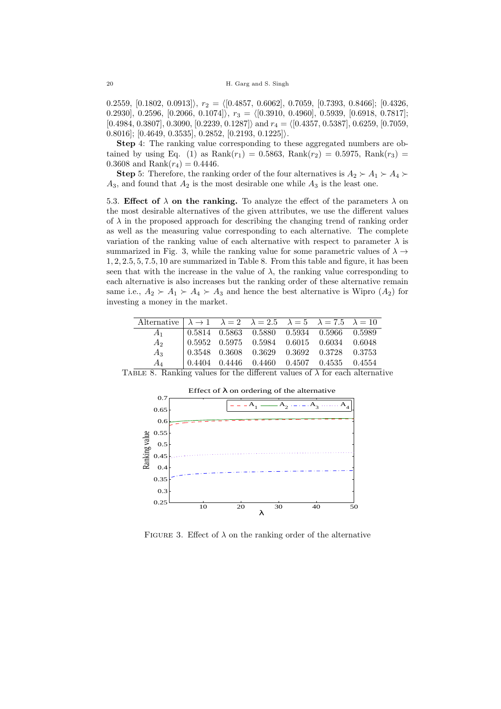*.*2559, [0*.*1802, 0*.*0913]*⟩*, *r*<sup>2</sup> = *⟨*[0*.*4857, 0*.*6062], 0*.*7059, [0*.*7393, 0*.*8466]; [0*.*4326, *.*2930], 0*.*2596, [0*.*2066, 0*.*1074]*⟩*, *r*<sup>3</sup> = *⟨*[0*.*3910, 0*.*4960], 0*.*5939, [0*.*6918, 0*.*7817]; [0*.*4984, 0*.*3807], 0*.*3090, [0*.*2239, 0*.*1287]*⟩* and *r*<sup>4</sup> = *⟨*[0*.*4357, 0*.*5387], 0*.*6259, [0*.*7059, *.*8016]; [0*.*4649, 0*.*3535], 0*.*2852, [0*.*2193, 0*.*1225]*⟩*.

**Step** 4: The ranking value corresponding to these aggregated numbers are obtained by using Eq. (1) as  $Rank(r_1) = 0.5863$ ,  $Rank(r_2) = 0.5975$ ,  $Rank(r_3) =$ 0.3608 and Rank $(r_4) = 0.4446$ .

**Step** 5: Therefore, the ranking order of the four alternatives is  $A_2 \succ A_1 \succ A_4 \succ$  $A_3$ , and found that  $A_2$  is the most desirable one while  $A_3$  is the least one.

5.3. **Effect of**  $\lambda$  **on the ranking.** To analyze the effect of the parameters  $\lambda$  on the most desirable alternatives of the given attributes, we use the different values of  $\lambda$  in the proposed approach for describing the changing trend of ranking order as well as the measuring value corresponding to each alternative. The complete variation of the ranking value of each alternative with respect to parameter  $\lambda$  is summarized in Fig. 3, while the ranking value for some parametric values of  $\lambda \rightarrow$ 1*,* 2*,* 2*.*5*,* 5*,* 7*.*5*,* 10 are summarized in Table 8. From this table and figure, it has been seen that with the increase in the value of  $\lambda$ , the ranking value corresponding to each alternative is also increases but the ranking order of these alternative remain same i.e.,  $A_2 \succ A_1 \succ A_4 \succ A_3$  and hence the best alternative is Wipro  $(A_2)$  for investing a money in the market.

| Alternative $\lambda \rightarrow 1$ $\lambda = 2$ $\lambda = 2.5$ $\lambda = 5$ $\lambda = 7.5$ $\lambda = 10$ |  |  |                                                                                                                         |  |
|----------------------------------------------------------------------------------------------------------------|--|--|-------------------------------------------------------------------------------------------------------------------------|--|
| A <sub>1</sub>                                                                                                 |  |  | $\begin{array}{ c c c c c c c c } \hline 0.5814 & 0.5863 & 0.5880 & 0.5934 & 0.5966 & \hline 0.5989 \hline \end{array}$ |  |
| A <sub>2</sub>                                                                                                 |  |  | $\begin{array}{cccccc} 0.5952 & 0.5975 & 0.5984 & 0.6015 & 0.6034 & 0.6048 \end{array}$                                 |  |
| $A_3$                                                                                                          |  |  | $\begin{array}{ ccc} 0.3548 & 0.3608 & 0.3629 & 0.3692 & 0.3728 & 0.3753 \end{array}$                                   |  |
| Aл                                                                                                             |  |  | $0.4404$ $0.4446$ $0.4460$ $0.4507$ $0.4535$ $0.4554$                                                                   |  |

TABLE 8. Ranking values for the different values of  $\lambda$  for each alternative



FIGURE 3. Effect of  $\lambda$  on the ranking order of the alternative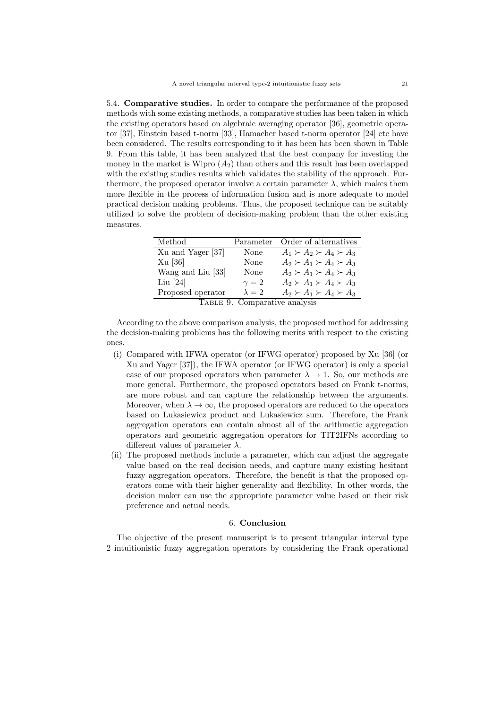5.4. **Comparative studies.** In order to compare the performance of the proposed methods with some existing methods, a comparative studies has been taken in which the existing operators based on algebraic averaging operator [36], geometric operator [37], Einstein based t-norm [33], Hamacher based t-norm operator [24] etc have been considered. The results corresponding to it has been has been shown in Table 9. From this table, it has been analyzed that the best company for investing the money in the market is Wipro  $(A_2)$  than others and this result has been overlapped with the existing studies results which validates the stability of the approach. Furthermore, the proposed operator involve a certain parameter  $\lambda$ , which makes them more flexible in the process of information fusion and is more adequate to model practical decision making problems. Thus, the proposed technique can be suitably utilized to solve the problem of decision-making problem than the other existing measures.

| Method                        | Parameter     | Order of alternatives               |  |  |
|-------------------------------|---------------|-------------------------------------|--|--|
| Xu and Yager [37]             | None          | $A_1 \succ A_2 \succ A_4 \succ A_3$ |  |  |
| $Xu$ [36]                     | None          | $A_2 \succ A_1 \succ A_4 \succ A_3$ |  |  |
| Wang and Liu [33]             | None          | $A_2 \succ A_1 \succ A_4 \succ A_3$ |  |  |
| Liu $[24]$                    | $\gamma=2$    | $A_2 \succ A_1 \succ A_4 \succ A_3$ |  |  |
| Proposed operator             | $\lambda = 2$ | $A_2 \succ A_1 \succ A_4 \succ A_3$ |  |  |
| TABLE 9. Comparative analysis |               |                                     |  |  |

According to the above comparison analysis, the proposed method for addressing the decision-making problems has the following merits with respect to the existing ones.

- (i) Compared with IFWA operator (or IFWG operator) proposed by Xu [36] (or Xu and Yager [37]), the IFWA operator (or IFWG operator) is only a special case of our proposed operators when parameter  $\lambda \rightarrow 1$ . So, our methods are more general. Furthermore, the proposed operators based on Frank t-norms, are more robust and can capture the relationship between the arguments. Moreover, when  $\lambda \to \infty$ , the proposed operators are reduced to the operators based on Lukasiewicz product and Lukasiewicz sum. Therefore, the Frank aggregation operators can contain almost all of the arithmetic aggregation operators and geometric aggregation operators for TIT2IFNs according to different values of parameter *λ*.
- (ii) The proposed methods include a parameter, which can adjust the aggregate value based on the real decision needs, and capture many existing hesitant fuzzy aggregation operators. Therefore, the benefit is that the proposed operators come with their higher generality and flexibility. In other words, the decision maker can use the appropriate parameter value based on their risk preference and actual needs.

## 6. **Conclusion**

The objective of the present manuscript is to present triangular interval type 2 intuitionistic fuzzy aggregation operators by considering the Frank operational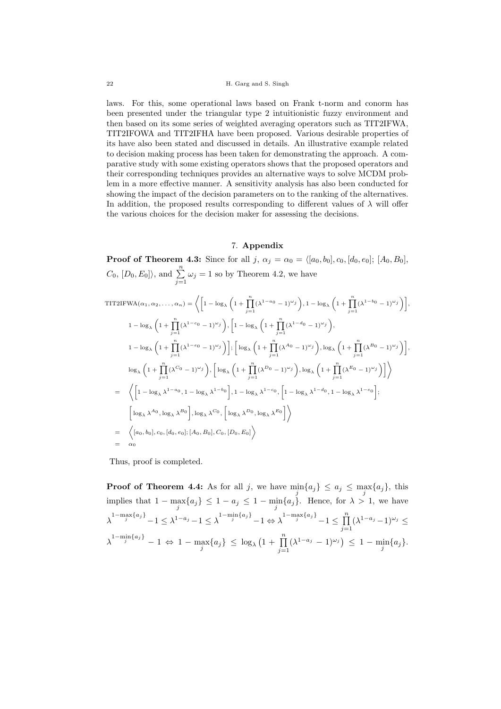laws. For this, some operational laws based on Frank t-norm and conorm has been presented under the triangular type 2 intuitionistic fuzzy environment and then based on its some series of weighted averaging operators such as TIT2IFWA, TIT2IFOWA and TIT2IFHA have been proposed. Various desirable properties of its have also been stated and discussed in details. An illustrative example related to decision making process has been taken for demonstrating the approach. A comparative study with some existing operators shows that the proposed operators and their corresponding techniques provides an alternative ways to solve MCDM problem in a more effective manner. A sensitivity analysis has also been conducted for showing the impact of the decision parameters on to the ranking of the alternatives. In addition, the proposed results corresponding to different values of  $\lambda$  will offer the various choices for the decision maker for assessing the decisions.

## 7. **Appendix**

**Proof of Theorem 4.3:** Since for all *j*,  $\alpha_j = \alpha_0 = \langle [a_0, b_0], c_0, [d_0, e_0]; [A_0, B_0],$  $C_0$ ,  $[D_0, E_0]$ , and  $\sum_{j=1}^n \omega_j = 1$  so by Theorem 4.2, we have

TIT2IFWA
$$
(\alpha_1, \alpha_2, ..., \alpha_n)
$$
 =  $\left\langle \left[ 1 - \log_{\lambda} \left( 1 + \prod_{j=1}^n (\lambda^{1-a_0} - 1)^{\omega_j} \right), 1 - \log_{\lambda} \left( 1 + \prod_{j=1}^n (\lambda^{1-b_0} - 1)^{\omega_j} \right) \right],$   
\n
$$
1 - \log_{\lambda} \left( 1 + \prod_{j=1}^n (\lambda^{1-c_0} - 1)^{\omega_j} \right), \left[ 1 - \log_{\lambda} \left( 1 + \prod_{j=1}^n (\lambda^{1-d_0} - 1)^{\omega_j} \right), \right]
$$
\n
$$
1 - \log_{\lambda} \left( 1 + \prod_{j=1}^n (\lambda^{1-c_0} - 1)^{\omega_j} \right) \right]; \left[ \log_{\lambda} \left( 1 + \prod_{j=1}^n (\lambda^{d_0} - 1)^{\omega_j} \right), \log_{\lambda} \left( 1 + \prod_{j=1}^n (\lambda^{B_0} - 1)^{\omega_j} \right) \right],
$$
\n
$$
\log_{\lambda} \left( 1 + \prod_{j=1}^n (\lambda^{C_0} - 1)^{\omega_j} \right), \left[ \log_{\lambda} \left( 1 + \prod_{j=1}^n (\lambda^{B_0} - 1)^{\omega_j} \right), \log_{\lambda} \left( 1 + \prod_{j=1}^n (\lambda^{B_0} - 1)^{\omega_j} \right) \right] \right\rangle
$$
\n
$$
= \left\langle \left[ 1 - \log_{\lambda} \lambda^{1-a_0}, 1 - \log_{\lambda} \lambda^{1-b_0} \right], 1 - \log_{\lambda} \lambda^{1-c_0}, \left[ 1 - \log_{\lambda} \lambda^{1-d_0}, 1 - \log_{\lambda} \lambda^{1-e_0} \right];
$$
\n
$$
\left[ \log_{\lambda} \lambda^{A_0}, \log_{\lambda} \lambda^{B_0} \right], \log_{\lambda} \lambda^{C_0}, \left[ \log_{\lambda} \lambda^{D_0}, \log_{\lambda} \lambda^{E_0} \right] \right\rangle
$$
\n
$$
= \left\langle [a_0, b_0], c_0, [d_0, e_0]; [A_0, B_0], C_0, [D_0, E_0] \right\r
$$

Thus, proof is completed.

**Proof of Theorem 4.4:** As for all *j*, we have  $\min_j \{a_j\} \le a_j \le \max_j \{a_j\}$ , this implies that  $1 - \max_j \{a_j\} \leq 1 - a_j \leq 1 - \min_j \{a_j\}$ . Hence, for  $\lambda > 1$ , we have  $\lambda^{1-\max\{a_j\}}-1\leq \lambda^{1-a_j}-1\leq \lambda^{1-\min\{a_j\}}-1\Leftrightarrow \lambda^{1-\max\{a_j\}}-1\leq \prod\limits_{j=1}^n$  $(\lambda^{1-a_j}-1)^{\omega_j} \leq$  $\lambda^{1 - \min_{j} \{a_j\}} - 1 \Leftrightarrow 1 - \max_{j} \{a_j\} \leq \log_{\lambda} \left(1 + \prod_{j=1}^{n} \right)$  $(\lambda^{1-a_j} - 1)^{\omega_j}$   $\leq 1 - \min_j\{a_j\}.$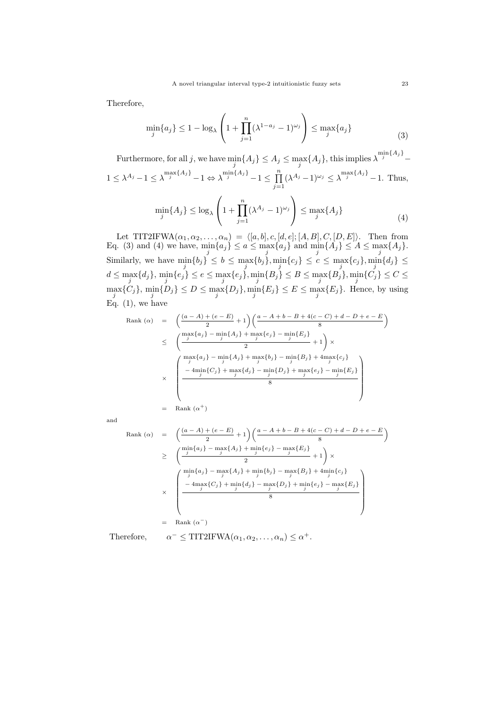Therefore,

$$
\min_{j} \{a_{j}\} \le 1 - \log_{\lambda} \left( 1 + \prod_{j=1}^{n} (\lambda^{1-a_{j}} - 1)^{\omega_{j}} \right) \le \max_{j} \{a_{j}\}
$$
\n(3)

Furthermore, for all j, we have  $\min_j\{A_j\} \leq A_j \leq \max_j\{A_j\}$ , this implies  $\lambda^{\min\{A_j\}}$ 

$$
1 \le \lambda^{A_j} - 1 \le \lambda^{\max\{A_j\}} - 1 \Leftrightarrow \lambda^{\min\{A_j\}} - 1 \le \prod_{j=1}^n (\lambda^{A_j} - 1)^{\omega_j} \le \lambda^{\max\{A_j\}} - 1.
$$
 Thus,

$$
\min_{j} \{A_j\} \le \log_{\lambda} \left(1 + \prod_{j=1}^{n} (\lambda^{A_j} - 1)^{\omega_j}\right) \le \max_{j} \{A_j\} \tag{4}
$$

Let TIT2IFWA $(\alpha_1, \alpha_2, \ldots, \alpha_n) = \langle [a, b], c, [d, e]; [A, B], C, [D, E] \rangle$ . Then from Eq. (3) and (4) we have,  $\min_j\{a_j\} \le a \le \max_j\{a_j\}$  and  $\min_j\{A_j\} \le A \le \max_j\{A_j\}$ . Similarly, we have  $\min_j\{b_j\} \le b \le \max_j\{b_j\}, \min_j\{c_j\} \le c \le \max_j\{c_j\}, \min_j\{d_j\} \le c$  $d \leq \max_{j}\{d_j\},\ \min_{j}\{e_j\} \leq e \leq \max_{j}\{e_j\}, \min_{j}\{B_j\} \leq B \leq \max_{j}\{B_j\}, \min_{j}\{C_j\} \leq C \leq$  $\max_j\{C_j\}$ ,  $\min_j\{D_j\} \le D \le \max_j\{D_j\}$ ,  $\min_j\{E_j\} \le E \le \max_j\{E_j\}$ . Hence, by using Eq.  $(1)$ , we have

Rank (α) = 
$$
\left(\frac{(a-A)+(e-E)}{2}+1\right)\left(\frac{a-A+b-B+4(c-C)+d-D+e-E}{8}\right)
$$
  
\n $\leq \left(\frac{\max\{a_j\}-\min\{A_j\}+\max\{e_j\}-\min\{E_j\}}{2}+1\right)\times$   
\n $\times \left(\frac{\max\{a_j\}-\min\{A_j\}+\max\{b_j\}-\min\{B_j\}+4\max\{c_j\}}{-4\min\{C_j\}+\max\{d_j\}-\min\{B_j\}+\max\{e_j\}-\min\{E_j\}}{8}\right)$   
\n= Rank (α<sup>+</sup>)

and

Rank (α) = 
$$
\left(\frac{(a-A)+(e-E)}{2}+1\right)\left(\frac{a-A+b-B+4(c-C)+d-D+e-E}{8}\right)
$$
  
\n $\geq \left(\frac{\min\{a_j\}-\max\{A_j\}+\min\{e_j\}-\max\{E_j\}}{2}+1\right)\times$   
\n $\times \left(\frac{\min\{a_j\}-\max\{A_j\}+\min\{b_j\}-\max\{B_j\}+4\min\{c_j\}}{3}+\min\{b_j\}-\max\{B_j\}+4\min\{c_j\}}{8}\right)$   
\n $\times \left(\frac{-4\max\{C_j\}+\min\{d_j\}-\max\{D_j\}+\min\{e_j\}-\max\{E_j\}}{8}\right)$   
\n= Rank (α<sup>-</sup>)

Therefore, *α*

$$
\vdash \leq \text{TIT2IFWA}(\alpha_1, \alpha_2, \ldots, \alpha_n) \leq \alpha^+.
$$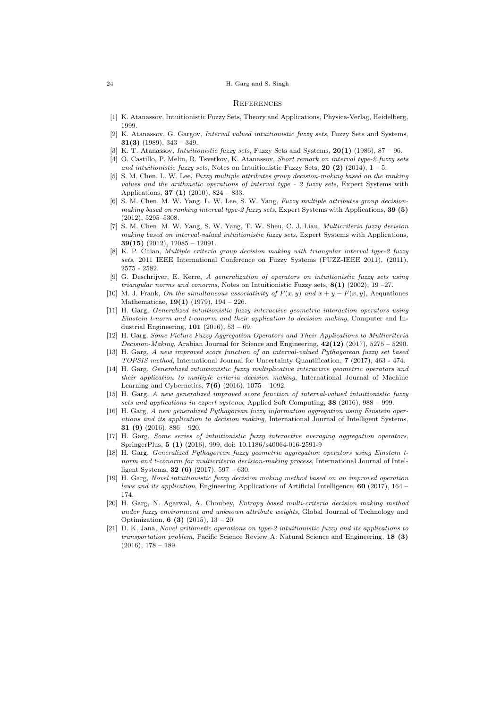#### 24 H. Garg and S. Singh

#### **REFERENCES**

- [1] K. Atanassov, Intuitionistic Fuzzy Sets, Theory and Applications, Physica-Verlag, Heidelberg, 1999.
- [2] K. Atanassov, G. Gargov, *Interval valued intuitionistic fuzzy sets*, Fuzzy Sets and Systems, **31(3)** (1989), 343 – 349.
- [3] K. T. Atanassov, *Intuitionistic fuzzy sets*, Fuzzy Sets and Systems, **20(1)** (1986), 87 96.
- [4] O. Castillo, P. Melin, R. Tsvetkov, K. Atanassov, *Short remark on interval type-2 fuzzy sets and intuitionistic fuzzy sets*, Notes on Intuitionistic Fuzzy Sets, **20 (2)** (2014),  $1 - 5$ .
- [5] S. M. Chen, L. W. Lee, *Fuzzy multiple attributes group decision-making based on the ranking values and the arithmetic operations of interval type - 2 fuzzy sets*, Expert Systems with Applications, **37 (1)** (2010), 824 – 833.
- [6] S. M. Chen, M. W. Yang, L. W. Lee, S. W. Yang, *Fuzzy multiple attributes group decisionmaking based on ranking interval type-2 fuzzy sets*, Expert Systems with Applications, **39 (5)** (2012), 5295–5308.
- [7] S. M. Chen, M. W. Yang, S. W. Yang, T. W. Sheu, C. J. Liau, *Multicriteria fuzzy decision making based on interval-valued intuitionistic fuzzy sets*, Expert Systems with Applications, **39(15)** (2012), 12085 – 12091.
- [8] K. P. Chiao, *Multiple criteria group decision making with triangular interval type-2 fuzzy sets*, 2011 IEEE International Conference on Fuzzy Systems (FUZZ-IEEE 2011), (2011), 2575 - 2582.
- [9] G. Deschrijver, E. Kerre, *A generalization of operators on intuitionistic fuzzy sets using triangular norms and conorms*, Notes on Intuitionistic Fuzzy sets, **8(1)** (2002), 19 –27.
- [10] M. J. Frank, *On the simultaneous associativity of*  $F(x, y)$  and  $x + y F(x, y)$ , Aequationes Mathematicae, **19(1)** (1979), 194 – 226.
- [11] H. Garg, *Generalized intuitionistic fuzzy interactive geometric interaction operators using Einstein t-norm and t-conorm and their application to decision making*, Computer and Industrial Engineering, **101** (2016), 53 – 69.
- [12] H. Garg, *Some Picture Fuzzy Aggregation Operators and Their Applications to Multicriteria Decision-Making*, Arabian Journal for Science and Engineering, **42(12)** (2017), 5275 – 5290.
- [13] H. Garg, *A new improved score function of an interval-valued Pythagorean fuzzy set based TOPSIS method*, International Journal for Uncertainty Quantification, **7** (2017), 463 - 474.
- [14] H. Garg, *Generalized intuitionistic fuzzy multiplicative interactive geometric operators and their application to multiple criteria decision making*, International Journal of Machine Learning and Cybernetics, **7(6)** (2016), 1075 – 1092.
- [15] H. Garg, *A new generalized improved score function of interval-valued intuitionistic fuzzy sets and applications in expert systems*, Applied Soft Computing, **38** (2016), 988 – 999.
- [16] H. Garg, *A new generalized Pythagorean fuzzy information aggregation using Einstein operations and its application to decision making*, International Journal of Intelligent Systems, **31 (9)** (2016), 886 – 920.
- [17] H. Garg, *Some series of intuitionistic fuzzy interactive averaging aggregation operators*, SpringerPlus, **5 (1)** (2016), 999, doi: 10.1186/s40064-016-2591-9
- [18] H. Garg, *Generalized Pythagorean fuzzy geometric aggregation operators using Einstein tnorm and t-conorm for multicriteria decision-making process*, International Journal of Intelligent Systems, **32 (6)** (2017), 597 – 630.
- [19] H. Garg, *Novel intuitionistic fuzzy decision making method based on an improved operation laws and its application*, Engineering Applications of Artificial Intelligence, **60** (2017), 164 – 174.
- [20] H. Garg, N. Agarwal, A. Choubey, *Entropy based multi-criteria decision making method under fuzzy environment and unknown attribute weights*, Global Journal of Technology and Optimization, **6 (3)** (2015), 13 – 20.
- [21] D. K. Jana, *Novel arithmetic operations on type-2 intuitionistic fuzzy and its applications to transportation problem*, Pacific Science Review A: Natural Science and Engineering, **18 (3)**  $(2016), 178 - 189.$